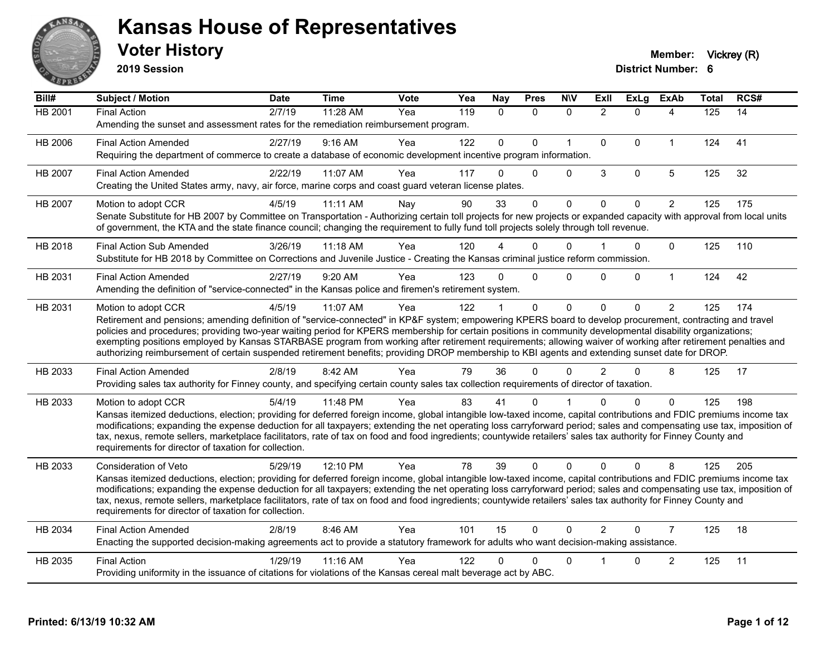

**2019 Session**

| Bill#   | Subject / Motion                                                                                                                                                                                                                                                                                                                             | <b>Date</b> | <b>Time</b> | Vote | Yea | <b>Nay</b> | <b>Pres</b>  | <b>N\V</b>   | ExII           | <b>ExLg</b> | <b>ExAb</b>    | Total | RCS# |
|---------|----------------------------------------------------------------------------------------------------------------------------------------------------------------------------------------------------------------------------------------------------------------------------------------------------------------------------------------------|-------------|-------------|------|-----|------------|--------------|--------------|----------------|-------------|----------------|-------|------|
| HB 2001 | <b>Final Action</b>                                                                                                                                                                                                                                                                                                                          | 2/7/19      | 11:28 AM    | Yea  | 119 | $\Omega$   | $\mathbf{0}$ | $\Omega$     | $\overline{2}$ | $\Omega$    | 4              | 125   | 14   |
|         | Amending the sunset and assessment rates for the remediation reimbursement program.                                                                                                                                                                                                                                                          |             |             |      |     |            |              |              |                |             |                |       |      |
| HB 2006 | <b>Final Action Amended</b>                                                                                                                                                                                                                                                                                                                  | 2/27/19     | $9:16$ AM   | Yea  | 122 | $\Omega$   | $\Omega$     | $\mathbf{1}$ | $\Omega$       | $\Omega$    | $\mathbf{1}$   | 124   | 41   |
|         | Requiring the department of commerce to create a database of economic development incentive program information.                                                                                                                                                                                                                             |             |             |      |     |            |              |              |                |             |                |       |      |
| HB 2007 | <b>Final Action Amended</b>                                                                                                                                                                                                                                                                                                                  | 2/22/19     | 11:07 AM    | Yea  | 117 | $\Omega$   | $\Omega$     | $\Omega$     | 3              | $\Omega$    | 5              | 125   | 32   |
|         | Creating the United States army, navy, air force, marine corps and coast guard veteran license plates.                                                                                                                                                                                                                                       |             |             |      |     |            |              |              |                |             |                |       |      |
| HB 2007 | Motion to adopt CCR                                                                                                                                                                                                                                                                                                                          | 4/5/19      | 11:11 AM    | Nay  | 90  | 33         | $\mathbf 0$  | $\mathbf 0$  | $\Omega$       | $\mathbf 0$ | 2              | 125   | 175  |
|         | Senate Substitute for HB 2007 by Committee on Transportation - Authorizing certain toll projects for new projects or expanded capacity with approval from local units                                                                                                                                                                        |             |             |      |     |            |              |              |                |             |                |       |      |
|         | of government, the KTA and the state finance council; changing the requirement to fully fund toll projects solely through toll revenue.                                                                                                                                                                                                      |             |             |      |     |            |              |              |                |             |                |       |      |
| HB 2018 | <b>Final Action Sub Amended</b>                                                                                                                                                                                                                                                                                                              | 3/26/19     | 11:18 AM    | Yea  | 120 |            | $\Omega$     | $\Omega$     |                | $\Omega$    | $\Omega$       | 125   | 110  |
|         | Substitute for HB 2018 by Committee on Corrections and Juvenile Justice - Creating the Kansas criminal justice reform commission.                                                                                                                                                                                                            |             |             |      |     |            |              |              |                |             |                |       |      |
| HB 2031 | <b>Final Action Amended</b>                                                                                                                                                                                                                                                                                                                  | 2/27/19     | 9:20 AM     | Yea  | 123 | 0          | $\Omega$     | $\Omega$     | $\Omega$       | $\Omega$    | $\mathbf{1}$   | 124   | 42   |
|         | Amending the definition of "service-connected" in the Kansas police and firemen's retirement system.                                                                                                                                                                                                                                         |             |             |      |     |            |              |              |                |             |                |       |      |
| HB 2031 | Motion to adopt CCR                                                                                                                                                                                                                                                                                                                          | 4/5/19      | 11:07 AM    | Yea  | 122 |            | $\mathbf 0$  | $\mathbf 0$  | $\Omega$       | $\Omega$    | $\overline{2}$ | 125   | 174  |
|         | Retirement and pensions; amending definition of "service-connected" in KP&F system; empowering KPERS board to develop procurement, contracting and travel                                                                                                                                                                                    |             |             |      |     |            |              |              |                |             |                |       |      |
|         | policies and procedures; providing two-year waiting period for KPERS membership for certain positions in community developmental disability organizations;                                                                                                                                                                                   |             |             |      |     |            |              |              |                |             |                |       |      |
|         | exempting positions employed by Kansas STARBASE program from working after retirement requirements; allowing waiver of working after retirement penalties and<br>authorizing reimbursement of certain suspended retirement benefits; providing DROP membership to KBI agents and extending sunset date for DROP.                             |             |             |      |     |            |              |              |                |             |                |       |      |
|         |                                                                                                                                                                                                                                                                                                                                              |             |             |      |     |            |              |              |                |             |                |       |      |
| HB 2033 | <b>Final Action Amended</b><br>Providing sales tax authority for Finney county, and specifying certain county sales tax collection requirements of director of taxation.                                                                                                                                                                     | 2/8/19      | 8:42 AM     | Yea  | 79  | 36         | $\Omega$     | $\Omega$     | $\overline{2}$ | $\Omega$    | 8              | 125   | 17   |
|         |                                                                                                                                                                                                                                                                                                                                              |             |             |      |     |            |              |              |                |             |                |       |      |
| HB 2033 | Motion to adopt CCR                                                                                                                                                                                                                                                                                                                          | 5/4/19      | 11:48 PM    | Yea  | 83  | 41         | ŋ            |              | U              | U           | $\Omega$       | 125   | 198  |
|         | Kansas itemized deductions, election; providing for deferred foreign income, global intangible low-taxed income, capital contributions and FDIC premiums income tax<br>modifications; expanding the expense deduction for all taxpayers; extending the net operating loss carryforward period; sales and compensating use tax, imposition of |             |             |      |     |            |              |              |                |             |                |       |      |
|         | tax, nexus, remote sellers, marketplace facilitators, rate of tax on food and food ingredients; countywide retailers' sales tax authority for Finney County and                                                                                                                                                                              |             |             |      |     |            |              |              |                |             |                |       |      |
|         | requirements for director of taxation for collection.                                                                                                                                                                                                                                                                                        |             |             |      |     |            |              |              |                |             |                |       |      |
| HB 2033 | Consideration of Veto                                                                                                                                                                                                                                                                                                                        | 5/29/19     | 12:10 PM    | Yea  | 78  | 39         | $\Omega$     | $\Omega$     | $\Omega$       | $\Omega$    | 8              | 125   | 205  |
|         | Kansas itemized deductions, election; providing for deferred foreign income, global intangible low-taxed income, capital contributions and FDIC premiums income tax                                                                                                                                                                          |             |             |      |     |            |              |              |                |             |                |       |      |
|         | modifications; expanding the expense deduction for all taxpayers; extending the net operating loss carryforward period; sales and compensating use tax, imposition of<br>tax, nexus, remote sellers, marketplace facilitators, rate of tax on food and food ingredients; countywide retailers' sales tax authority for Finney County and     |             |             |      |     |            |              |              |                |             |                |       |      |
|         | requirements for director of taxation for collection.                                                                                                                                                                                                                                                                                        |             |             |      |     |            |              |              |                |             |                |       |      |
|         |                                                                                                                                                                                                                                                                                                                                              |             |             |      |     | 15         |              |              |                | $\Omega$    |                |       |      |
| HB 2034 | <b>Final Action Amended</b><br>Enacting the supported decision-making agreements act to provide a statutory framework for adults who want decision-making assistance.                                                                                                                                                                        | 2/8/19      | 8:46 AM     | Yea  | 101 |            | $\mathbf{0}$ | $\Omega$     | $\overline{2}$ |             | $\overline{7}$ | 125   | 18   |
|         |                                                                                                                                                                                                                                                                                                                                              |             |             |      |     |            |              |              |                |             |                |       |      |
| HB 2035 | <b>Final Action</b>                                                                                                                                                                                                                                                                                                                          | 1/29/19     | 11:16 AM    | Yea  | 122 | 0          | 0            | $\Omega$     |                | $\Omega$    | $\overline{2}$ | 125   | 11   |
|         | Providing uniformity in the issuance of citations for violations of the Kansas cereal malt beverage act by ABC.                                                                                                                                                                                                                              |             |             |      |     |            |              |              |                |             |                |       |      |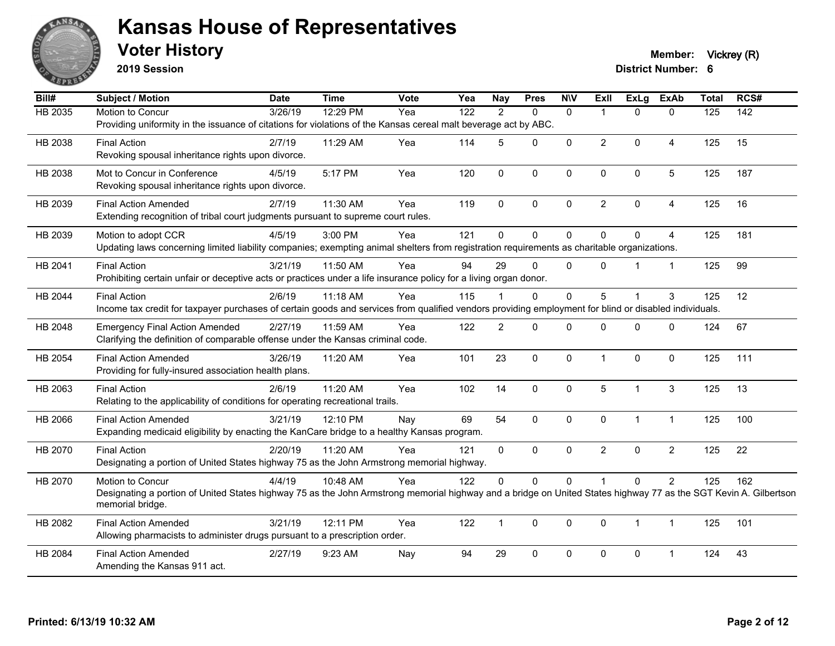

**2019 Session**

**Voter History Member:** Vickrey (R)

| Bill#          | Subject / Motion                                                                                                                                                   | <b>Date</b>          | <b>Time</b> | Vote | Yea              | <b>Nay</b>     | <b>Pres</b>  | <b>NIV</b>   | ExII           | <b>ExLg</b>  | <b>ExAb</b>    | <b>Total</b> | RCS#             |
|----------------|--------------------------------------------------------------------------------------------------------------------------------------------------------------------|----------------------|-------------|------|------------------|----------------|--------------|--------------|----------------|--------------|----------------|--------------|------------------|
| <b>HB 2035</b> | Motion to Concur                                                                                                                                                   | $\frac{1}{3}$ /26/19 | 12:29 PM    | Yea  | $\overline{122}$ | $\overline{2}$ | $\mathbf{0}$ | $\mathbf{0}$ | 1              | $\Omega$     | $\Omega$       | 125          | $\overline{142}$ |
|                | Providing uniformity in the issuance of citations for violations of the Kansas cereal malt beverage act by ABC.                                                    |                      |             |      |                  |                |              |              |                |              |                |              |                  |
| HB 2038        | <b>Final Action</b>                                                                                                                                                | 2/7/19               | 11:29 AM    | Yea  | 114              | 5              | 0            | $\mathbf{0}$ | $\overline{2}$ | $\Omega$     | 4              | 125          | 15               |
|                | Revoking spousal inheritance rights upon divorce.                                                                                                                  |                      |             |      |                  |                |              |              |                |              |                |              |                  |
| HB 2038        | Mot to Concur in Conference                                                                                                                                        | 4/5/19               | 5:17 PM     | Yea  | 120              | $\mathbf 0$    | $\mathbf 0$  | $\pmb{0}$    | 0              | 0            | $\overline{5}$ | 125          | 187              |
|                | Revoking spousal inheritance rights upon divorce.                                                                                                                  |                      |             |      |                  |                |              |              |                |              |                |              |                  |
| HB 2039        | <b>Final Action Amended</b>                                                                                                                                        | 2/7/19               | 11:30 AM    | Yea  | 119              | $\Omega$       | $\mathbf{0}$ | $\mathbf{0}$ | $\overline{2}$ | $\Omega$     | $\overline{4}$ | 125          | 16               |
|                | Extending recognition of tribal court judgments pursuant to supreme court rules.                                                                                   |                      |             |      |                  |                |              |              |                |              |                |              |                  |
|                |                                                                                                                                                                    |                      |             |      |                  |                |              |              |                |              |                |              |                  |
| HB 2039        | Motion to adopt CCR<br>Updating laws concerning limited liability companies; exempting animal shelters from registration requirements as charitable organizations. | 4/5/19               | 3:00 PM     | Yea  | 121              | $\Omega$       | $\mathbf 0$  | $\mathbf 0$  | $\mathbf{0}$   | $\mathbf 0$  | $\overline{4}$ | 125          | 181              |
|                |                                                                                                                                                                    |                      |             |      |                  |                |              |              |                |              |                |              |                  |
| HB 2041        | <b>Final Action</b>                                                                                                                                                | 3/21/19              | 11:50 AM    | Yea  | 94               | 29             | $\Omega$     | $\Omega$     | $\Omega$       |              | $\mathbf 1$    | 125          | 99               |
|                | Prohibiting certain unfair or deceptive acts or practices under a life insurance policy for a living organ donor.                                                  |                      |             |      |                  |                |              |              |                |              |                |              |                  |
| HB 2044        | <b>Final Action</b>                                                                                                                                                | 2/6/19               | 11:18 AM    | Yea  | 115              |                | $\mathbf 0$  | $\mathbf 0$  | 5              |              | 3              | 125          | 12               |
|                | Income tax credit for taxpayer purchases of certain goods and services from qualified vendors providing employment for blind or disabled individuals.              |                      |             |      |                  |                |              |              |                |              |                |              |                  |
| HB 2048        | <b>Emergency Final Action Amended</b>                                                                                                                              | 2/27/19              | 11:59 AM    | Yea  | 122              | $\overline{2}$ | $\Omega$     | $\Omega$     | $\Omega$       | $\Omega$     | $\Omega$       | 124          | 67               |
|                | Clarifying the definition of comparable offense under the Kansas criminal code.                                                                                    |                      |             |      |                  |                |              |              |                |              |                |              |                  |
| HB 2054        | <b>Final Action Amended</b>                                                                                                                                        | 3/26/19              | 11:20 AM    | Yea  | 101              | 23             | $\mathbf 0$  | $\mathbf 0$  | $\mathbf 1$    | $\mathbf 0$  | $\mathbf 0$    | 125          | 111              |
|                | Providing for fully-insured association health plans.                                                                                                              |                      |             |      |                  |                |              |              |                |              |                |              |                  |
|                |                                                                                                                                                                    | 2/6/19               | 11:20 AM    | Yea  |                  | 14             |              |              |                | 1            |                | 125          | 13               |
| HB 2063        | <b>Final Action</b><br>Relating to the applicability of conditions for operating recreational trails.                                                              |                      |             |      | 102              |                | $\mathbf 0$  | $\mathbf 0$  | 5              |              | 3              |              |                  |
|                |                                                                                                                                                                    |                      |             |      |                  |                |              |              |                |              |                |              |                  |
| HB 2066        | <b>Final Action Amended</b>                                                                                                                                        | 3/21/19              | 12:10 PM    | Nay  | 69               | 54             | $\Omega$     | $\mathbf 0$  | $\Omega$       | $\mathbf{1}$ | $\mathbf{1}$   | 125          | 100              |
|                | Expanding medicaid eligibility by enacting the KanCare bridge to a healthy Kansas program.                                                                         |                      |             |      |                  |                |              |              |                |              |                |              |                  |
| HB 2070        | <b>Final Action</b>                                                                                                                                                | 2/20/19              | 11:20 AM    | Yea  | 121              | 0              | $\mathbf{0}$ | $\mathbf{0}$ | $\overline{2}$ | $\Omega$     | $\overline{2}$ | 125          | 22               |
|                | Designating a portion of United States highway 75 as the John Armstrong memorial highway.                                                                          |                      |             |      |                  |                |              |              |                |              |                |              |                  |
| HB 2070        | Motion to Concur                                                                                                                                                   | 4/4/19               | 10:48 AM    | Yea  | 122              | 0              | $\mathbf 0$  | $\mathbf 0$  |                | $\Omega$     | $\overline{2}$ | 125          | 162              |
|                | Designating a portion of United States highway 75 as the John Armstrong memorial highway and a bridge on United States highway 77 as the SGT Kevin A. Gilbertson   |                      |             |      |                  |                |              |              |                |              |                |              |                  |
|                | memorial bridge.                                                                                                                                                   |                      |             |      |                  |                |              |              |                |              |                |              |                  |
| HB 2082        | <b>Final Action Amended</b>                                                                                                                                        | 3/21/19              | 12:11 PM    | Yea  | 122              | $\mathbf{1}$   | $\Omega$     | $\mathbf{0}$ | $\Omega$       | 1            | $\mathbf{1}$   | 125          | 101              |
|                | Allowing pharmacists to administer drugs pursuant to a prescription order.                                                                                         |                      |             |      |                  |                |              |              |                |              |                |              |                  |
| HB 2084        | <b>Final Action Amended</b>                                                                                                                                        | 2/27/19              | 9:23 AM     | Nay  | 94               | 29             | 0            | $\mathbf 0$  | 0              | 0            | 1              | 124          | 43               |
|                | Amending the Kansas 911 act.                                                                                                                                       |                      |             |      |                  |                |              |              |                |              |                |              |                  |
|                |                                                                                                                                                                    |                      |             |      |                  |                |              |              |                |              |                |              |                  |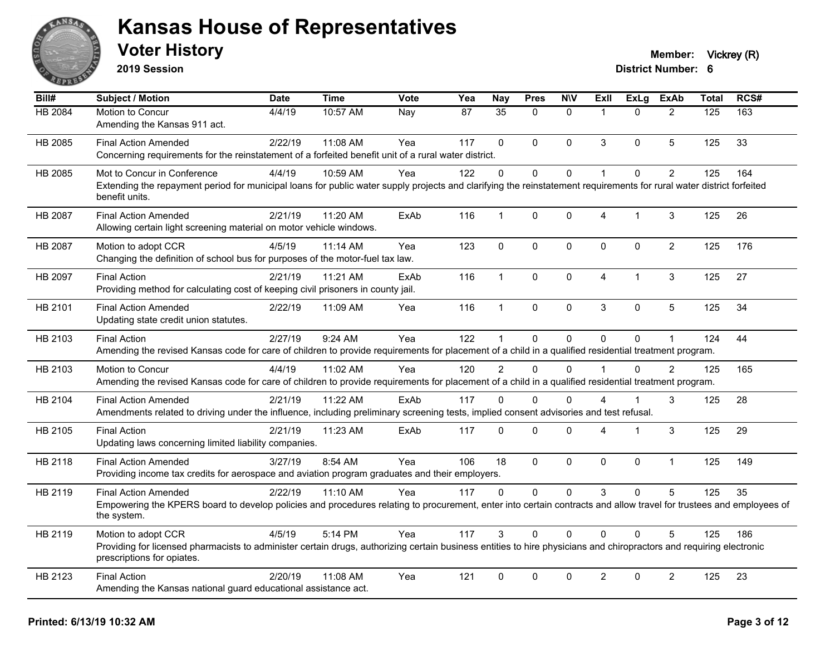

**2019 Session**

| Bill#          | Subject / Motion                                                                                                                                                                                  | <b>Date</b> | <b>Time</b> | Vote | Yea | <b>Nay</b>      | <b>Pres</b>  | <b>N\V</b>   | ExII           | <b>ExLg</b>    | <b>ExAb</b>    | <b>Total</b> | RCS# |
|----------------|---------------------------------------------------------------------------------------------------------------------------------------------------------------------------------------------------|-------------|-------------|------|-----|-----------------|--------------|--------------|----------------|----------------|----------------|--------------|------|
| <b>HB 2084</b> | Motion to Concur                                                                                                                                                                                  | 4/4/19      | 10:57 AM    | Nay  | 87  | $\overline{35}$ | $\Omega$     | $\mathbf{0}$ | 1              | $\Omega$       | 2              | 125          | 163  |
|                | Amending the Kansas 911 act.                                                                                                                                                                      |             |             |      |     |                 |              |              |                |                |                |              |      |
| HB 2085        | <b>Final Action Amended</b>                                                                                                                                                                       | 2/22/19     | 11:08 AM    | Yea  | 117 | 0               | $\mathbf 0$  | $\pmb{0}$    | 3              | $\Omega$       | $\overline{5}$ | 125          | 33   |
|                | Concerning requirements for the reinstatement of a forfeited benefit unit of a rural water district.                                                                                              |             |             |      |     |                 |              |              |                |                |                |              |      |
| HB 2085        | Mot to Concur in Conference                                                                                                                                                                       | 4/4/19      | 10:59 AM    | Yea  | 122 | $\Omega$        | $\Omega$     | $\mathbf 0$  | 1              | $\Omega$       | $\overline{c}$ | 125          | 164  |
|                | Extending the repayment period for municipal loans for public water supply projects and clarifying the reinstatement requirements for rural water district forfeited<br>benefit units.            |             |             |      |     |                 |              |              |                |                |                |              |      |
| HB 2087        | <b>Final Action Amended</b>                                                                                                                                                                       | 2/21/19     | 11:20 AM    | ExAb | 116 | $\mathbf{1}$    | $\pmb{0}$    | 0            | $\overline{4}$ | $\mathbf 1$    | $\sqrt{3}$     | 125          | 26   |
|                | Allowing certain light screening material on motor vehicle windows.                                                                                                                               |             |             |      |     |                 |              |              |                |                |                |              |      |
| HB 2087        | Motion to adopt CCR                                                                                                                                                                               | 4/5/19      | 11:14 AM    | Yea  | 123 | $\mathbf 0$     | $\pmb{0}$    | $\mathbf 0$  | $\mathbf 0$    | $\mathbf 0$    | $\overline{c}$ | 125          | 176  |
|                | Changing the definition of school bus for purposes of the motor-fuel tax law.                                                                                                                     |             |             |      |     |                 |              |              |                |                |                |              |      |
| HB 2097        | <b>Final Action</b>                                                                                                                                                                               | 2/21/19     | 11:21 AM    | ExAb | 116 | $\mathbf 1$     | $\mathbf 0$  | $\mathbf 0$  | $\overline{4}$ | $\overline{1}$ | $\mathbf{3}$   | 125          | 27   |
|                | Providing method for calculating cost of keeping civil prisoners in county jail.                                                                                                                  |             |             |      |     |                 |              |              |                |                |                |              |      |
| HB 2101        | <b>Final Action Amended</b>                                                                                                                                                                       | 2/22/19     | 11:09 AM    | Yea  | 116 | $\mathbf 1$     | $\mathbf 0$  | $\mathbf 0$  | 3              | $\mathbf{0}$   | 5              | 125          | 34   |
|                | Updating state credit union statutes.                                                                                                                                                             |             |             |      |     |                 |              |              |                |                |                |              |      |
| HB 2103        | <b>Final Action</b>                                                                                                                                                                               | 2/27/19     | 9:24 AM     | Yea  | 122 | 1               | $\mathbf 0$  | $\mathbf 0$  | $\Omega$       | 0              | $\mathbf 1$    | 124          | 44   |
|                | Amending the revised Kansas code for care of children to provide requirements for placement of a child in a qualified residential treatment program.                                              |             |             |      |     |                 |              |              |                |                |                |              |      |
| HB 2103        | Motion to Concur                                                                                                                                                                                  | 4/4/19      | 11:02 AM    | Yea  | 120 | $\overline{2}$  | $\mathbf{0}$ | $\Omega$     |                | $\Omega$       | 2              | 125          | 165  |
|                | Amending the revised Kansas code for care of children to provide requirements for placement of a child in a qualified residential treatment program.                                              |             |             |      |     |                 |              |              |                |                |                |              |      |
| HB 2104        | <b>Final Action Amended</b>                                                                                                                                                                       | 2/21/19     | 11:22 AM    | ExAb | 117 | $\Omega$        | $\mathbf{0}$ | $\Omega$     | 4              | $\overline{1}$ | 3              | 125          | 28   |
|                | Amendments related to driving under the influence, including preliminary screening tests, implied consent advisories and test refusal.                                                            |             |             |      |     |                 |              |              |                |                |                |              |      |
| HB 2105        | <b>Final Action</b>                                                                                                                                                                               | 2/21/19     | 11:23 AM    | ExAb | 117 | $\Omega$        | $\mathbf 0$  | $\mathbf 0$  | 4              | $\mathbf 1$    | $\sqrt{3}$     | 125          | 29   |
|                | Updating laws concerning limited liability companies.                                                                                                                                             |             |             |      |     |                 |              |              |                |                |                |              |      |
| HB 2118        | <b>Final Action Amended</b>                                                                                                                                                                       | 3/27/19     | 8:54 AM     | Yea  | 106 | 18              | $\mathbf{0}$ | $\mathbf{0}$ | $\Omega$       | $\mathbf{0}$   | $\mathbf{1}$   | 125          | 149  |
|                | Providing income tax credits for aerospace and aviation program graduates and their employers.                                                                                                    |             |             |      |     |                 |              |              |                |                |                |              |      |
| HB 2119        | <b>Final Action Amended</b>                                                                                                                                                                       | 2/22/19     | 11:10 AM    | Yea  | 117 | 0               | $\mathbf 0$  | $\mathbf 0$  | 3              | $\Omega$       | 5              | 125          | 35   |
|                | Empowering the KPERS board to develop policies and procedures relating to procurement, enter into certain contracts and allow travel for trustees and employees of<br>the system.                 |             |             |      |     |                 |              |              |                |                |                |              |      |
| HB 2119        | Motion to adopt CCR                                                                                                                                                                               | 4/5/19      | 5:14 PM     | Yea  | 117 | 3               | $\mathbf{0}$ | $\Omega$     | $\Omega$       | $\Omega$       | 5              | 125          | 186  |
|                | Providing for licensed pharmacists to administer certain drugs, authorizing certain business entities to hire physicians and chiropractors and requiring electronic<br>prescriptions for opiates. |             |             |      |     |                 |              |              |                |                |                |              |      |
| HB 2123        | <b>Final Action</b>                                                                                                                                                                               | 2/20/19     | 11:08 AM    | Yea  | 121 | 0               | $\pmb{0}$    | $\mathbf 0$  | $\overline{2}$ | $\mathbf 0$    | $\overline{2}$ | 125          | 23   |
|                | Amending the Kansas national guard educational assistance act.                                                                                                                                    |             |             |      |     |                 |              |              |                |                |                |              |      |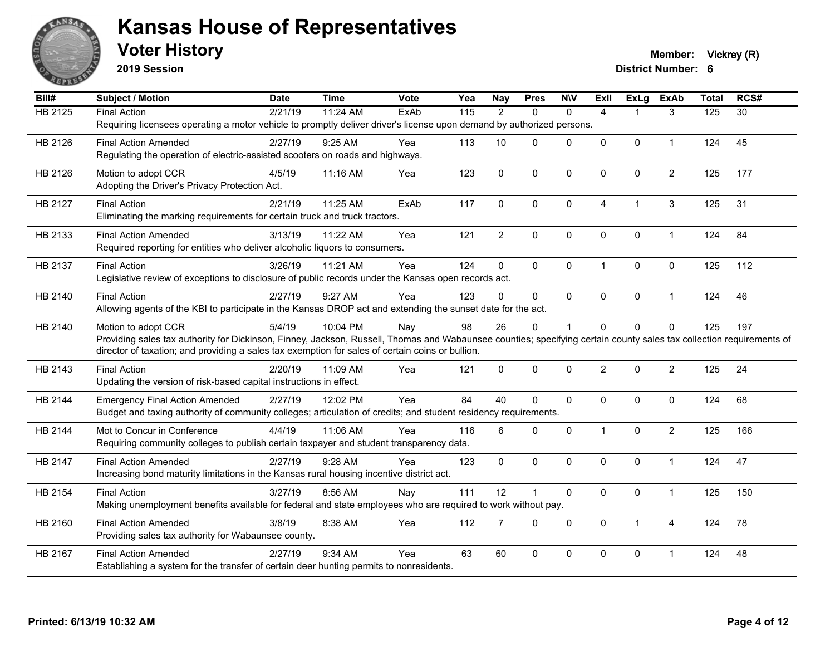

**2019 Session**

| Bill#          | Subject / Motion                                                                                                                                                                                                                                                         | <b>Date</b> | <b>Time</b> | <b>Vote</b> | Yea | <b>Nay</b>     | <b>Pres</b>    | <b>NIV</b>   | <b>ExII</b>          | ExLg           | <b>ExAb</b>    | <b>Total</b> | RCS# |
|----------------|--------------------------------------------------------------------------------------------------------------------------------------------------------------------------------------------------------------------------------------------------------------------------|-------------|-------------|-------------|-----|----------------|----------------|--------------|----------------------|----------------|----------------|--------------|------|
| <b>HB 2125</b> | <b>Final Action</b>                                                                                                                                                                                                                                                      | 2/21/19     | 11:24 AM    | ExAb        | 115 | $\overline{2}$ | $\mathbf{0}$   | $\Omega$     | $\overline{4}$       |                | 3              | 125          | 30   |
|                | Requiring licensees operating a motor vehicle to promptly deliver driver's license upon demand by authorized persons.                                                                                                                                                    |             |             |             |     |                |                |              |                      |                |                |              |      |
| HB 2126        | <b>Final Action Amended</b>                                                                                                                                                                                                                                              | 2/27/19     | $9:25$ AM   | Yea         | 113 | 10             | $\Omega$       | $\Omega$     | $\Omega$             | $\mathbf{0}$   | $\mathbf{1}$   | 124          | 45   |
|                | Regulating the operation of electric-assisted scooters on roads and highways.                                                                                                                                                                                            |             |             |             |     |                |                |              |                      |                |                |              |      |
| HB 2126        | Motion to adopt CCR                                                                                                                                                                                                                                                      | 4/5/19      | 11:16 AM    | Yea         | 123 | 0              | $\mathbf 0$    | 0            | $\mathbf{0}$         | $\mathbf 0$    | $\overline{c}$ | 125          | 177  |
|                | Adopting the Driver's Privacy Protection Act.                                                                                                                                                                                                                            |             |             |             |     |                |                |              |                      |                |                |              |      |
| HB 2127        | <b>Final Action</b>                                                                                                                                                                                                                                                      | 2/21/19     | 11:25 AM    | ExAb        | 117 | 0              | $\mathbf 0$    | $\mathbf 0$  | $\overline{4}$       | $\overline{1}$ | 3              | 125          | 31   |
|                | Eliminating the marking requirements for certain truck and truck tractors.                                                                                                                                                                                               |             |             |             |     |                |                |              |                      |                |                |              |      |
| HB 2133        | <b>Final Action Amended</b>                                                                                                                                                                                                                                              | 3/13/19     | 11:22 AM    | Yea         | 121 | $\overline{2}$ | $\mathbf 0$    | 0            | 0                    | $\mathbf 0$    | $\mathbf{1}$   | 124          | 84   |
|                | Required reporting for entities who deliver alcoholic liquors to consumers.                                                                                                                                                                                              |             |             |             |     |                |                |              |                      |                |                |              |      |
|                |                                                                                                                                                                                                                                                                          |             |             |             |     |                |                |              |                      |                |                |              |      |
| HB 2137        | <b>Final Action</b><br>Legislative review of exceptions to disclosure of public records under the Kansas open records act.                                                                                                                                               | 3/26/19     | 11:21 AM    | Yea         | 124 | 0              | $\mathbf{0}$   | $\mathbf 0$  | $\blacktriangleleft$ | $\mathbf{0}$   | $\mathbf 0$    | 125          | 112  |
|                |                                                                                                                                                                                                                                                                          |             |             |             |     |                |                |              |                      |                |                |              |      |
| HB 2140        | <b>Final Action</b>                                                                                                                                                                                                                                                      | 2/27/19     | 9:27 AM     | Yea         | 123 | $\Omega$       | $\mathbf 0$    | 0            | $\Omega$             | $\mathbf 0$    | $\mathbf{1}$   | 124          | 46   |
|                | Allowing agents of the KBI to participate in the Kansas DROP act and extending the sunset date for the act.                                                                                                                                                              |             |             |             |     |                |                |              |                      |                |                |              |      |
| HB 2140        | Motion to adopt CCR                                                                                                                                                                                                                                                      | 5/4/19      | 10:04 PM    | Nay         | 98  | 26             | $\mathbf{0}$   | $\mathbf{1}$ | $\Omega$             | $\mathbf{0}$   | $\mathbf{0}$   | 125          | 197  |
|                | Providing sales tax authority for Dickinson, Finney, Jackson, Russell, Thomas and Wabaunsee counties; specifying certain county sales tax collection requirements of<br>director of taxation; and providing a sales tax exemption for sales of certain coins or bullion. |             |             |             |     |                |                |              |                      |                |                |              |      |
|                |                                                                                                                                                                                                                                                                          |             |             |             |     |                |                |              |                      |                |                |              |      |
| HB 2143        | <b>Final Action</b>                                                                                                                                                                                                                                                      | 2/20/19     | 11:09 AM    | Yea         | 121 | $\mathbf 0$    | $\mathbf{0}$   | 0            | $\overline{2}$       | $\mathbf 0$    | $\overline{2}$ | 125          | 24   |
|                | Updating the version of risk-based capital instructions in effect.                                                                                                                                                                                                       |             |             |             |     |                |                |              |                      |                |                |              |      |
| HB 2144        | <b>Emergency Final Action Amended</b>                                                                                                                                                                                                                                    | 2/27/19     | 12:02 PM    | Yea         | 84  | 40             | $\mathbf{0}$   | $\Omega$     | $\Omega$             | $\mathbf{0}$   | $\mathbf{0}$   | 124          | 68   |
|                | Budget and taxing authority of community colleges; articulation of credits; and student residency requirements.                                                                                                                                                          |             |             |             |     |                |                |              |                      |                |                |              |      |
| HB 2144        | Mot to Concur in Conference                                                                                                                                                                                                                                              | 4/4/19      | 11:06 AM    | Yea         | 116 | 6              | $\Omega$       | 0            | $\mathbf 1$          | $\mathbf 0$    | $\overline{c}$ | 125          | 166  |
|                | Requiring community colleges to publish certain taxpayer and student transparency data.                                                                                                                                                                                  |             |             |             |     |                |                |              |                      |                |                |              |      |
| HB 2147        | <b>Final Action Amended</b>                                                                                                                                                                                                                                              | 2/27/19     | 9:28 AM     | Yea         | 123 | $\mathbf 0$    | $\mathbf 0$    | 0            | $\Omega$             | $\mathbf 0$    | $\mathbf{1}$   | 124          | 47   |
|                | Increasing bond maturity limitations in the Kansas rural housing incentive district act.                                                                                                                                                                                 |             |             |             |     |                |                |              |                      |                |                |              |      |
| HB 2154        | <b>Final Action</b>                                                                                                                                                                                                                                                      | 3/27/19     | 8:56 AM     | Nay         | 111 | 12             | $\overline{1}$ | 0            | $\mathbf{0}$         | $\mathbf 0$    | $\mathbf{1}$   | 125          | 150  |
|                | Making unemployment benefits available for federal and state employees who are required to work without pay.                                                                                                                                                             |             |             |             |     |                |                |              |                      |                |                |              |      |
| HB 2160        | <b>Final Action Amended</b>                                                                                                                                                                                                                                              | 3/8/19      | 8:38 AM     | Yea         | 112 | $\overline{7}$ | $\Omega$       | 0            | $\mathbf{0}$         | $\mathbf{1}$   | 4              | 124          | 78   |
|                | Providing sales tax authority for Wabaunsee county.                                                                                                                                                                                                                      |             |             |             |     |                |                |              |                      |                |                |              |      |
|                |                                                                                                                                                                                                                                                                          |             | $9:34$ AM   | Yea         |     |                |                |              | $\Omega$             |                | 1              |              |      |
| HB 2167        | <b>Final Action Amended</b><br>Establishing a system for the transfer of certain deer hunting permits to nonresidents.                                                                                                                                                   | 2/27/19     |             |             | 63  | 60             | $\mathbf{0}$   | 0            |                      | $\pmb{0}$      |                | 124          | 48   |
|                |                                                                                                                                                                                                                                                                          |             |             |             |     |                |                |              |                      |                |                |              |      |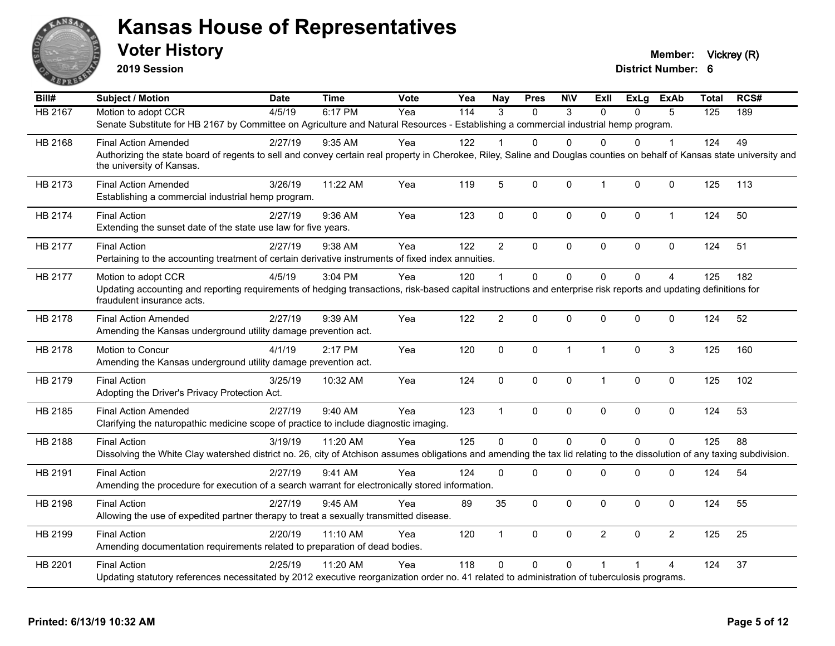

**2019 Session**

**Voter History Member:** Vickrey (R)

| Bill#          | <b>Subject / Motion</b>                                                                                                                                                                                               | <b>Date</b> | <b>Time</b> | <b>Vote</b> | Yea | Nay                     | <b>Pres</b>  | <b>NIV</b>   | ExII           | ExLg        | <b>ExAb</b>    | <b>Total</b> | RCS# |
|----------------|-----------------------------------------------------------------------------------------------------------------------------------------------------------------------------------------------------------------------|-------------|-------------|-------------|-----|-------------------------|--------------|--------------|----------------|-------------|----------------|--------------|------|
| <b>HB 2167</b> | Motion to adopt CCR                                                                                                                                                                                                   | 4/5/19      | 6:17 PM     | Yea         | 114 | 3                       | $\Omega$     | 3            | $\Omega$       | 0           | 5              | 125          | 189  |
|                | Senate Substitute for HB 2167 by Committee on Agriculture and Natural Resources - Establishing a commercial industrial hemp program.                                                                                  |             |             |             |     |                         |              |              |                |             |                |              |      |
| HB 2168        | <b>Final Action Amended</b>                                                                                                                                                                                           | 2/27/19     | $9:35$ AM   | Yea         | 122 |                         | 0            | $\Omega$     | $\Omega$       | 0           | 1              | 124          | 49   |
|                | Authorizing the state board of regents to sell and convey certain real property in Cherokee, Riley, Saline and Douglas counties on behalf of Kansas state university and<br>the university of Kansas.                 |             |             |             |     |                         |              |              |                |             |                |              |      |
| HB 2173        | <b>Final Action Amended</b><br>Establishing a commercial industrial hemp program.                                                                                                                                     | 3/26/19     | 11:22 AM    | Yea         | 119 | 5                       | 0            | 0            | $\mathbf{1}$   | 0           | 0              | 125          | 113  |
| HB 2174        | <b>Final Action</b><br>Extending the sunset date of the state use law for five years.                                                                                                                                 | 2/27/19     | $9:36$ AM   | Yea         | 123 | $\mathbf 0$             | 0            | 0            | $\mathbf 0$    | $\mathbf 0$ | $\mathbf{1}$   | 124          | 50   |
| HB 2177        | <b>Final Action</b><br>Pertaining to the accounting treatment of certain derivative instruments of fixed index annuities.                                                                                             | 2/27/19     | 9:38 AM     | Yea         | 122 | $\overline{2}$          | $\Omega$     | 0            | $\Omega$       | $\Omega$    | $\mathbf 0$    | 124          | 51   |
| HB 2177        | Motion to adopt CCR<br>Updating accounting and reporting requirements of hedging transactions, risk-based capital instructions and enterprise risk reports and updating definitions for<br>fraudulent insurance acts. | 4/5/19      | 3:04 PM     | Yea         | 120 | $\overline{\mathbf{1}}$ | $\Omega$     | $\Omega$     | $\Omega$       | $\Omega$    | 4              | 125          | 182  |
| HB 2178        | <b>Final Action Amended</b><br>Amending the Kansas underground utility damage prevention act.                                                                                                                         | 2/27/19     | 9:39 AM     | Yea         | 122 | $\overline{2}$          | $\Omega$     | 0            | $\mathbf 0$    | $\Omega$    | $\mathbf 0$    | 124          | 52   |
| HB 2178        | Motion to Concur<br>Amending the Kansas underground utility damage prevention act.                                                                                                                                    | 4/1/19      | 2:17 PM     | Yea         | 120 | $\mathbf 0$             | 0            | $\mathbf{1}$ | $\mathbf{1}$   | $\mathbf 0$ | $\overline{3}$ | 125          | 160  |
| HB 2179        | <b>Final Action</b><br>Adopting the Driver's Privacy Protection Act.                                                                                                                                                  | 3/25/19     | 10:32 AM    | Yea         | 124 | $\mathbf 0$             | 0            | $\mathbf 0$  | $\mathbf{1}$   | 0           | 0              | 125          | 102  |
| HB 2185        | <b>Final Action Amended</b><br>Clarifying the naturopathic medicine scope of practice to include diagnostic imaging.                                                                                                  | 2/27/19     | 9:40 AM     | Yea         | 123 | $\mathbf{1}$            | 0            | 0            | $\mathbf 0$    | 0           | 0              | 124          | 53   |
| HB 2188        | <b>Final Action</b><br>Dissolving the White Clay watershed district no. 26, city of Atchison assumes obligations and amending the tax lid relating to the dissolution of any taxing subdivision.                      | 3/19/19     | 11:20 AM    | Yea         | 125 | $\mathbf{0}$            | $\mathbf{0}$ | $\Omega$     | $\mathbf{0}$   | $\Omega$    | $\Omega$       | 125          | 88   |
| HB 2191        | <b>Final Action</b><br>Amending the procedure for execution of a search warrant for electronically stored information.                                                                                                | 2/27/19     | 9:41 AM     | Yea         | 124 | $\mathbf 0$             | $\Omega$     | 0            | $\mathbf 0$    | 0           | 0              | 124          | 54   |
| HB 2198        | <b>Final Action</b><br>Allowing the use of expedited partner therapy to treat a sexually transmitted disease.                                                                                                         | 2/27/19     | 9:45 AM     | Yea         | 89  | 35                      | 0            | 0            | $\mathbf 0$    | $\Omega$    | 0              | 124          | 55   |
| HB 2199        | <b>Final Action</b><br>Amending documentation requirements related to preparation of dead bodies.                                                                                                                     | 2/20/19     | 11:10 AM    | Yea         | 120 | $\mathbf{1}$            | $\mathbf{0}$ | 0            | $\overline{2}$ | $\Omega$    | $\overline{2}$ | 125          | 25   |
| HB 2201        | <b>Final Action</b><br>Updating statutory references necessitated by 2012 executive reorganization order no. 41 related to administration of tuberculosis programs.                                                   | 2/25/19     | 11:20 AM    | Yea         | 118 | $\mathbf{0}$            | $\mathbf{0}$ | $\Omega$     |                |             | 4              | 124          | 37   |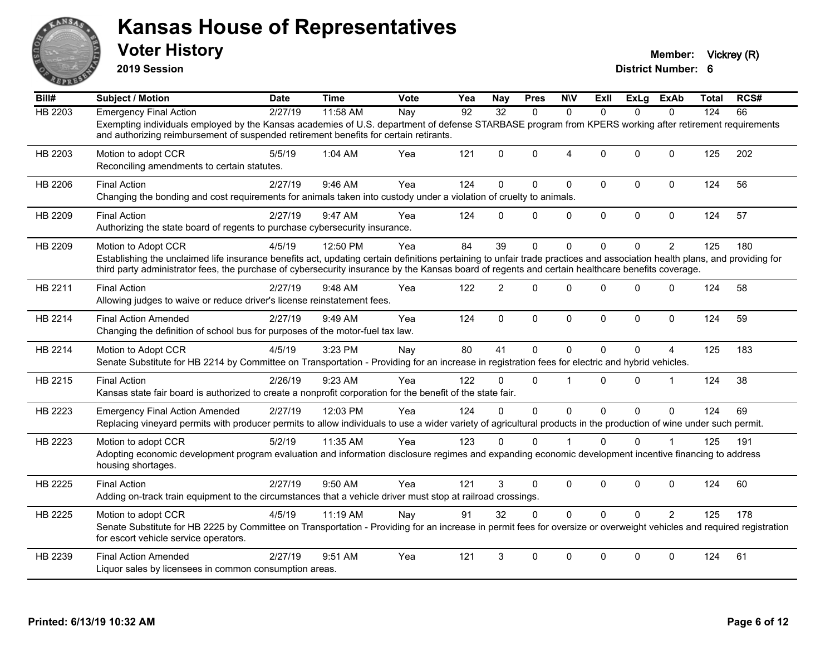

**2019 Session**

| Bill#   | <b>Subject / Motion</b>                                                                                                                                                                                                                                                                                                                              | <b>Date</b> | <b>Time</b> | Vote | Yea | Nay             | <b>Pres</b> | <b>NIV</b>     | ExII         | ExLg         | <b>ExAb</b>    | <b>Total</b> | RCS# |
|---------|------------------------------------------------------------------------------------------------------------------------------------------------------------------------------------------------------------------------------------------------------------------------------------------------------------------------------------------------------|-------------|-------------|------|-----|-----------------|-------------|----------------|--------------|--------------|----------------|--------------|------|
| HB 2203 | <b>Emergency Final Action</b>                                                                                                                                                                                                                                                                                                                        | 2/27/19     | 11:58 AM    | Nay  | 92  | $\overline{32}$ | $\Omega$    | $\Omega$       | $\Omega$     | $\Omega$     | $\Omega$       | 124          | 66   |
|         | Exempting individuals employed by the Kansas academies of U.S. department of defense STARBASE program from KPERS working after retirement requirements<br>and authorizing reimbursement of suspended retirement benefits for certain retirants.                                                                                                      |             |             |      |     |                 |             |                |              |              |                |              |      |
| HB 2203 | Motion to adopt CCR<br>Reconciling amendments to certain statutes.                                                                                                                                                                                                                                                                                   | 5/5/19      | 1:04 AM     | Yea  | 121 | $\Omega$        | $\Omega$    | $\overline{4}$ | $\Omega$     | $\Omega$     | $\Omega$       | 125          | 202  |
| HB 2206 | <b>Final Action</b><br>Changing the bonding and cost requirements for animals taken into custody under a violation of cruelty to animals.                                                                                                                                                                                                            | 2/27/19     | $9:46$ AM   | Yea  | 124 | $\Omega$        | $\Omega$    | $\mathbf 0$    | $\mathbf{0}$ | $\Omega$     | 0              | 124          | 56   |
| HB 2209 | <b>Final Action</b><br>Authorizing the state board of regents to purchase cybersecurity insurance.                                                                                                                                                                                                                                                   | 2/27/19     | 9:47 AM     | Yea  | 124 | $\Omega$        | $\Omega$    | $\mathbf 0$    | $\mathbf{0}$ | $\mathbf{0}$ | 0              | 124          | 57   |
| HB 2209 | Motion to Adopt CCR<br>Establishing the unclaimed life insurance benefits act, updating certain definitions pertaining to unfair trade practices and association health plans, and providing for<br>third party administrator fees, the purchase of cybersecurity insurance by the Kansas board of regents and certain healthcare benefits coverage. | 4/5/19      | 12:50 PM    | Yea  | 84  | 39              | $\Omega$    | $\mathbf{0}$   | $\Omega$     | $\Omega$     | $\overline{2}$ | 125          | 180  |
| HB 2211 | <b>Final Action</b><br>Allowing judges to waive or reduce driver's license reinstatement fees.                                                                                                                                                                                                                                                       | 2/27/19     | 9:48 AM     | Yea  | 122 | $\overline{2}$  | $\Omega$    | $\mathbf{0}$   | $\Omega$     | $\Omega$     | $\mathbf 0$    | 124          | 58   |
| HB 2214 | <b>Final Action Amended</b><br>Changing the definition of school bus for purposes of the motor-fuel tax law.                                                                                                                                                                                                                                         | 2/27/19     | 9:49 AM     | Yea  | 124 | $\mathbf{0}$    | $\Omega$    | $\mathbf{0}$   | $\Omega$     | $\mathbf{0}$ | $\Omega$       | 124          | 59   |
| HB 2214 | Motion to Adopt CCR<br>Senate Substitute for HB 2214 by Committee on Transportation - Providing for an increase in registration fees for electric and hybrid vehicles.                                                                                                                                                                               | 4/5/19      | 3:23 PM     | Nav  | 80  | 41              | $\Omega$    | $\mathbf{0}$   | $\Omega$     | $\Omega$     | 4              | 125          | 183  |
| HB 2215 | <b>Final Action</b><br>Kansas state fair board is authorized to create a nonprofit corporation for the benefit of the state fair.                                                                                                                                                                                                                    | 2/26/19     | 9:23 AM     | Yea  | 122 | 0               | $\Omega$    | $\overline{1}$ | $\Omega$     | $\mathbf 0$  | $\overline{1}$ | 124          | 38   |
| HB 2223 | <b>Emergency Final Action Amended</b><br>Replacing vineyard permits with producer permits to allow individuals to use a wider variety of agricultural products in the production of wine under such permit.                                                                                                                                          | 2/27/19     | 12:03 PM    | Yea  | 124 | $\Omega$        | $\Omega$    | $\mathbf 0$    | $\mathbf 0$  | $\Omega$     | $\Omega$       | 124          | 69   |
| HB 2223 | Motion to adopt CCR<br>Adopting economic development program evaluation and information disclosure regimes and expanding economic development incentive financing to address<br>housing shortages.                                                                                                                                                   | 5/2/19      | 11:35 AM    | Yea  | 123 | $\Omega$        | $\Omega$    |                | $\Omega$     | $\Omega$     |                | 125          | 191  |
| HB 2225 | <b>Final Action</b><br>Adding on-track train equipment to the circumstances that a vehicle driver must stop at railroad crossings.                                                                                                                                                                                                                   | 2/27/19     | 9:50 AM     | Yea  | 121 | 3               | $\Omega$    | $\mathbf 0$    | $\Omega$     | $\Omega$     | $\mathbf 0$    | 124          | 60   |
| HB 2225 | Motion to adopt CCR<br>Senate Substitute for HB 2225 by Committee on Transportation - Providing for an increase in permit fees for oversize or overweight vehicles and required registration<br>for escort vehicle service operators.                                                                                                                | 4/5/19      | 11:19 AM    | Nay  | 91  | 32              | $\Omega$    | $\mathbf{0}$   | $\Omega$     | $\Omega$     | $\overline{2}$ | 125          | 178  |
| HB 2239 | <b>Final Action Amended</b><br>Liquor sales by licensees in common consumption areas.                                                                                                                                                                                                                                                                | 2/27/19     | 9:51 AM     | Yea  | 121 | 3               | $\Omega$    | $\mathbf{0}$   | $\Omega$     | $\Omega$     | $\mathbf{0}$   | 124          | 61   |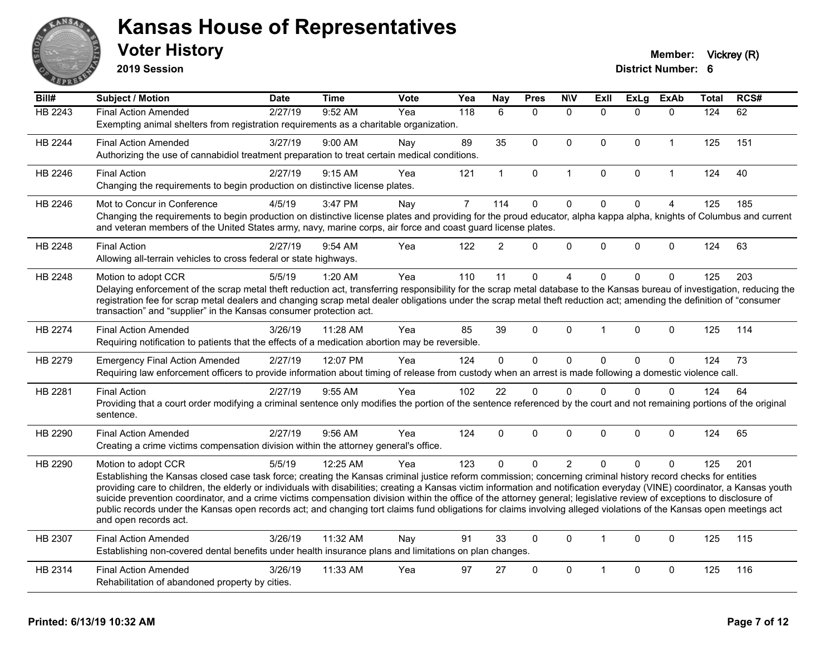

**2019 Session**

| Bill#   | Subject / Motion                                                                                                                                                                                                                                                                                                                                      | <b>Date</b> | <b>Time</b> | <b>Vote</b> | Yea            | <b>Nay</b>     | <b>Pres</b>  | <b>NIV</b>   | ExII                 | <b>ExLg</b>  | <b>ExAb</b>    | Total | RCS# |
|---------|-------------------------------------------------------------------------------------------------------------------------------------------------------------------------------------------------------------------------------------------------------------------------------------------------------------------------------------------------------|-------------|-------------|-------------|----------------|----------------|--------------|--------------|----------------------|--------------|----------------|-------|------|
| HB 2243 | <b>Final Action Amended</b>                                                                                                                                                                                                                                                                                                                           | 2/27/19     | 9:52 AM     | Yea         | 118            | 6              | $\mathbf{0}$ | $\mathbf{0}$ | $\Omega$             | $\Omega$     | $\Omega$       | 124   | 62   |
|         | Exempting animal shelters from registration requirements as a charitable organization.                                                                                                                                                                                                                                                                |             |             |             |                |                |              |              |                      |              |                |       |      |
| HB 2244 | <b>Final Action Amended</b>                                                                                                                                                                                                                                                                                                                           | 3/27/19     | $9:00$ AM   | Nay         | 89             | 35             | $\Omega$     | $\mathbf 0$  | $\mathbf 0$          | $\Omega$     | 1              | 125   | 151  |
|         | Authorizing the use of cannabidiol treatment preparation to treat certain medical conditions.                                                                                                                                                                                                                                                         |             |             |             |                |                |              |              |                      |              |                |       |      |
| HB 2246 | <b>Final Action</b>                                                                                                                                                                                                                                                                                                                                   | 2/27/19     | 9:15 AM     | Yea         | 121            | $\mathbf{1}$   | $\mathbf 0$  | $\mathbf{1}$ | $\mathbf 0$          | 0            | $\mathbf 1$    | 124   | 40   |
|         | Changing the requirements to begin production on distinctive license plates.                                                                                                                                                                                                                                                                          |             |             |             |                |                |              |              |                      |              |                |       |      |
| HB 2246 | Mot to Concur in Conference                                                                                                                                                                                                                                                                                                                           | 4/5/19      | 3:47 PM     | Nay         | $\overline{7}$ | 114            | $\mathbf 0$  | $\pmb{0}$    | $\mathbf{0}$         | $\mathbf 0$  | $\overline{4}$ | 125   | 185  |
|         | Changing the requirements to begin production on distinctive license plates and providing for the proud educator, alpha kappa alpha, knights of Columbus and current                                                                                                                                                                                  |             |             |             |                |                |              |              |                      |              |                |       |      |
|         | and veteran members of the United States army, navy, marine corps, air force and coast guard license plates.                                                                                                                                                                                                                                          |             |             |             |                |                |              |              |                      |              |                |       |      |
| HB 2248 | <b>Final Action</b>                                                                                                                                                                                                                                                                                                                                   | 2/27/19     | 9:54 AM     | Yea         | 122            | $\overline{2}$ | $\Omega$     | $\Omega$     | $\mathbf{0}$         | $\Omega$     | $\mathbf 0$    | 124   | 63   |
|         | Allowing all-terrain vehicles to cross federal or state highways.                                                                                                                                                                                                                                                                                     |             |             |             |                |                |              |              |                      |              |                |       |      |
| HB 2248 | Motion to adopt CCR                                                                                                                                                                                                                                                                                                                                   | 5/5/19      | $1:20$ AM   | Yea         | 110            | 11             | $\Omega$     | 4            | $\mathbf{0}$         | $\mathbf{0}$ | $\mathbf{0}$   | 125   | 203  |
|         | Delaying enforcement of the scrap metal theft reduction act, transferring responsibility for the scrap metal database to the Kansas bureau of investigation, reducing the                                                                                                                                                                             |             |             |             |                |                |              |              |                      |              |                |       |      |
|         | registration fee for scrap metal dealers and changing scrap metal dealer obligations under the scrap metal theft reduction act; amending the definition of "consumer<br>transaction" and "supplier" in the Kansas consumer protection act.                                                                                                            |             |             |             |                |                |              |              |                      |              |                |       |      |
|         |                                                                                                                                                                                                                                                                                                                                                       |             |             |             |                |                |              |              |                      |              |                |       |      |
| HB 2274 | <b>Final Action Amended</b>                                                                                                                                                                                                                                                                                                                           | 3/26/19     | 11:28 AM    | Yea         | 85             | 39             | $\Omega$     | $\Omega$     |                      | $\Omega$     | 0              | 125   | 114  |
|         | Requiring notification to patients that the effects of a medication abortion may be reversible.                                                                                                                                                                                                                                                       |             |             |             |                |                |              |              |                      |              |                |       |      |
| HB 2279 | <b>Emergency Final Action Amended</b>                                                                                                                                                                                                                                                                                                                 | 2/27/19     | 12:07 PM    | Yea         | 124            | $\Omega$       | $\Omega$     | $\mathbf 0$  | $\mathbf{0}$         | $\Omega$     | 0              | 124   | 73   |
|         | Requiring law enforcement officers to provide information about timing of release from custody when an arrest is made following a domestic violence call.                                                                                                                                                                                             |             |             |             |                |                |              |              |                      |              |                |       |      |
| HB 2281 | <b>Final Action</b>                                                                                                                                                                                                                                                                                                                                   | 2/27/19     | 9:55 AM     | Yea         | 102            | 22             | $\Omega$     | $\Omega$     | $\Omega$             | $\mathbf{0}$ | $\Omega$       | 124   | 64   |
|         | Providing that a court order modifying a criminal sentence only modifies the portion of the sentence referenced by the court and not remaining portions of the original                                                                                                                                                                               |             |             |             |                |                |              |              |                      |              |                |       |      |
|         | sentence.                                                                                                                                                                                                                                                                                                                                             |             |             |             |                |                |              |              |                      |              |                |       |      |
| HB 2290 | <b>Final Action Amended</b>                                                                                                                                                                                                                                                                                                                           | 2/27/19     | 9:56 AM     | Yea         | 124            | $\mathbf{0}$   | $\Omega$     | $\Omega$     | $\mathbf{0}$         | $\Omega$     | $\mathbf 0$    | 124   | 65   |
|         | Creating a crime victims compensation division within the attorney general's office.                                                                                                                                                                                                                                                                  |             |             |             |                |                |              |              |                      |              |                |       |      |
| HB 2290 | Motion to adopt CCR                                                                                                                                                                                                                                                                                                                                   | 5/5/19      | 12:25 AM    | Yea         | 123            | $\Omega$       | $\Omega$     | 2            | $\Omega$             | $\Omega$     | $\Omega$       | 125   | 201  |
|         | Establishing the Kansas closed case task force; creating the Kansas criminal justice reform commission; concerning criminal history record checks for entities                                                                                                                                                                                        |             |             |             |                |                |              |              |                      |              |                |       |      |
|         | providing care to children, the elderly or individuals with disabilities; creating a Kansas victim information and notification everyday (VINE) coordinator, a Kansas youth<br>suicide prevention coordinator, and a crime victims compensation division within the office of the attorney general; legislative review of exceptions to disclosure of |             |             |             |                |                |              |              |                      |              |                |       |      |
|         | public records under the Kansas open records act; and changing tort claims fund obligations for claims involving alleged violations of the Kansas open meetings act                                                                                                                                                                                   |             |             |             |                |                |              |              |                      |              |                |       |      |
|         | and open records act.                                                                                                                                                                                                                                                                                                                                 |             |             |             |                |                |              |              |                      |              |                |       |      |
| HB 2307 | <b>Final Action Amended</b>                                                                                                                                                                                                                                                                                                                           | 3/26/19     | 11:32 AM    | Nay         | 91             | 33             | $\Omega$     | $\Omega$     | $\blacktriangleleft$ | $\Omega$     | $\Omega$       | 125   | 115  |
|         | Establishing non-covered dental benefits under health insurance plans and limitations on plan changes.                                                                                                                                                                                                                                                |             |             |             |                |                |              |              |                      |              |                |       |      |
| HB 2314 | <b>Final Action Amended</b>                                                                                                                                                                                                                                                                                                                           | 3/26/19     | 11:33 AM    | Yea         | 97             | 27             | $\Omega$     | $\mathbf 0$  | 1                    | 0            | 0              | 125   | 116  |
|         | Rehabilitation of abandoned property by cities.                                                                                                                                                                                                                                                                                                       |             |             |             |                |                |              |              |                      |              |                |       |      |
|         |                                                                                                                                                                                                                                                                                                                                                       |             |             |             |                |                |              |              |                      |              |                |       |      |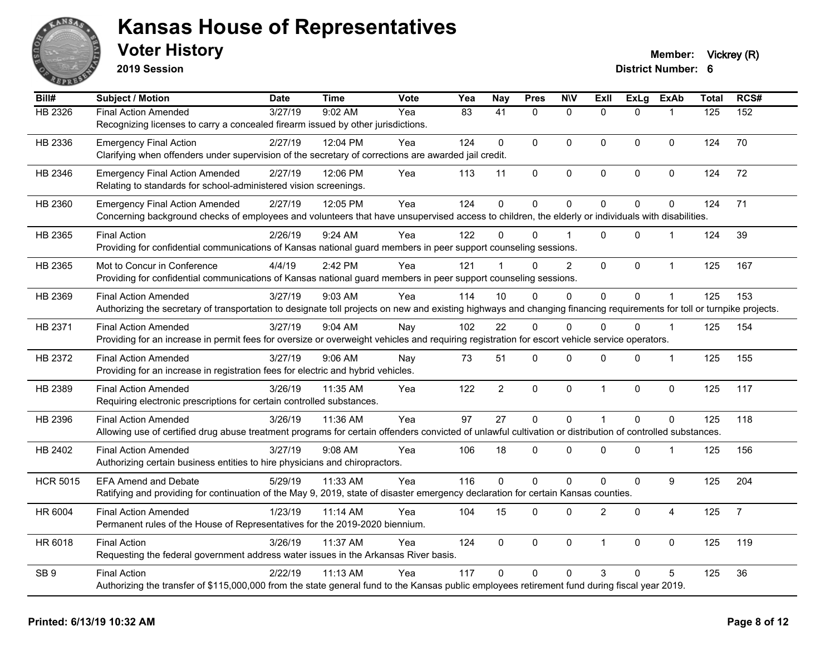

**2019 Session**

| Bill#           | <b>Subject / Motion</b>                                                                                                                                                | <b>Date</b> | <b>Time</b> | Vote | Yea             | <b>Nay</b>      | <b>Pres</b> | <b>N\V</b>     | ExIl           | <b>ExLg</b>    | <b>ExAb</b>      | <b>Total</b> | RCS#           |
|-----------------|------------------------------------------------------------------------------------------------------------------------------------------------------------------------|-------------|-------------|------|-----------------|-----------------|-------------|----------------|----------------|----------------|------------------|--------------|----------------|
| HB 2326         | <b>Final Action Amended</b>                                                                                                                                            | 3/27/19     | 9:02 AM     | Yea  | $\overline{83}$ | $\overline{41}$ | $\Omega$    | $\mathbf{0}$   | $\Omega$       | $\Omega$       | -1               | 125          | 152            |
|                 | Recognizing licenses to carry a concealed firearm issued by other jurisdictions.                                                                                       |             |             |      |                 |                 |             |                |                |                |                  |              |                |
| HB 2336         | <b>Emergency Final Action</b>                                                                                                                                          | 2/27/19     | 12:04 PM    | Yea  | 124             | $\Omega$        | $\Omega$    | $\mathbf{0}$   | $\Omega$       | $\Omega$       | $\mathbf{0}$     | 124          | 70             |
|                 | Clarifying when offenders under supervision of the secretary of corrections are awarded jail credit.                                                                   |             |             |      |                 |                 |             |                |                |                |                  |              |                |
| HB 2346         | <b>Emergency Final Action Amended</b>                                                                                                                                  | 2/27/19     | 12:06 PM    | Yea  | 113             | 11              | 0           | 0              | 0              | 0              | 0                | 124          | 72             |
|                 | Relating to standards for school-administered vision screenings.                                                                                                       |             |             |      |                 |                 |             |                |                |                |                  |              |                |
| HB 2360         | <b>Emergency Final Action Amended</b>                                                                                                                                  | 2/27/19     | 12:05 PM    | Yea  | 124             | $\mathbf{0}$    | 0           | $\mathbf 0$    | $\Omega$       | $\Omega$       | $\mathbf 0$      | 124          | 71             |
|                 | Concerning background checks of employees and volunteers that have unsupervised access to children, the elderly or individuals with disabilities.                      |             |             |      |                 |                 |             |                |                |                |                  |              |                |
| HB 2365         | <b>Final Action</b>                                                                                                                                                    | 2/26/19     | 9:24 AM     | Yea  | 122             | 0               | $\Omega$    |                | $\Omega$       | $\Omega$       | 1                | 124          | 39             |
|                 | Providing for confidential communications of Kansas national guard members in peer support counseling sessions.                                                        |             |             |      |                 |                 |             |                |                |                |                  |              |                |
|                 |                                                                                                                                                                        |             |             |      |                 |                 |             |                |                |                |                  |              |                |
| HB 2365         | Mot to Concur in Conference<br>Providing for confidential communications of Kansas national guard members in peer support counseling sessions.                         | 4/4/19      | 2:42 PM     | Yea  | 121             |                 | $\Omega$    | $\overline{2}$ | $\Omega$       | $\Omega$       | $\mathbf{1}$     | 125          | 167            |
|                 |                                                                                                                                                                        |             |             |      |                 |                 |             |                |                |                |                  |              |                |
| HB 2369         | <b>Final Action Amended</b>                                                                                                                                            | 3/27/19     | 9:03 AM     | Yea  | 114             | 10              | 0           | 0              | 0              | 0              |                  | 125          | 153            |
|                 | Authorizing the secretary of transportation to designate toll projects on new and existing highways and changing financing requirements for toll or turnpike projects. |             |             |      |                 |                 |             |                |                |                |                  |              |                |
| HB 2371         | <b>Final Action Amended</b>                                                                                                                                            | 3/27/19     | 9:04 AM     | Nay  | 102             | 22              | 0           | $\Omega$       | $\Omega$       | $\Omega$       | $\overline{1}$   | 125          | 154            |
|                 | Providing for an increase in permit fees for oversize or overweight vehicles and requiring registration for escort vehicle service operators.                          |             |             |      |                 |                 |             |                |                |                |                  |              |                |
| HB 2372         | <b>Final Action Amended</b>                                                                                                                                            | 3/27/19     | 9:06 AM     | Nay  | 73              | 51              | 0           | 0              | 0              | 0              | 1                | 125          | 155            |
|                 | Providing for an increase in registration fees for electric and hybrid vehicles.                                                                                       |             |             |      |                 |                 |             |                |                |                |                  |              |                |
| HB 2389         | <b>Final Action Amended</b>                                                                                                                                            | 3/26/19     | 11:35 AM    | Yea  | 122             | $\overline{2}$  | 0           | $\mathbf 0$    | $\mathbf 1$    | $\mathbf 0$    | 0                | 125          | 117            |
|                 | Requiring electronic prescriptions for certain controlled substances.                                                                                                  |             |             |      |                 |                 |             |                |                |                |                  |              |                |
| HB 2396         | <b>Final Action Amended</b>                                                                                                                                            | 3/26/19     | 11:36 AM    | Yea  | 97              | 27              | $\mathbf 0$ | $\mathbf 0$    | $\mathbf 1$    | $\overline{0}$ | $\pmb{0}$        | 125          | 118            |
|                 | Allowing use of certified drug abuse treatment programs for certain offenders convicted of unlawful cultivation or distribution of controlled substances.              |             |             |      |                 |                 |             |                |                |                |                  |              |                |
| HB 2402         | <b>Final Action Amended</b>                                                                                                                                            | 3/27/19     | 9:08 AM     | Yea  | 106             | 18              | $\Omega$    | $\Omega$       | $\Omega$       | $\Omega$       | 1                | 125          | 156            |
|                 | Authorizing certain business entities to hire physicians and chiropractors.                                                                                            |             |             |      |                 |                 |             |                |                |                |                  |              |                |
| <b>HCR 5015</b> | <b>EFA Amend and Debate</b>                                                                                                                                            | 5/29/19     | 11:33 AM    | Yea  | 116             | $\Omega$        | 0           | $\mathbf 0$    | $\Omega$       | $\mathbf{0}$   | $\boldsymbol{9}$ | 125          | 204            |
|                 | Ratifying and providing for continuation of the May 9, 2019, state of disaster emergency declaration for certain Kansas counties.                                      |             |             |      |                 |                 |             |                |                |                |                  |              |                |
| HR 6004         | <b>Final Action Amended</b>                                                                                                                                            | 1/23/19     | 11:14 AM    | Yea  | 104             | 15              | 0           | 0              | $\overline{2}$ | 0              | $\overline{4}$   | 125          | $\overline{7}$ |
|                 | Permanent rules of the House of Representatives for the 2019-2020 biennium.                                                                                            |             |             |      |                 |                 |             |                |                |                |                  |              |                |
|                 |                                                                                                                                                                        |             |             |      |                 |                 |             |                |                |                |                  |              |                |
| HR 6018         | <b>Final Action</b>                                                                                                                                                    | 3/26/19     | 11:37 AM    | Yea  | 124             | $\mathbf 0$     | 0           | $\mathbf 0$    | $\overline{1}$ | $\Omega$       | $\mathbf{0}$     | 125          | 119            |
|                 | Requesting the federal government address water issues in the Arkansas River basis.                                                                                    |             |             |      |                 |                 |             |                |                |                |                  |              |                |
| SB <sub>9</sub> | <b>Final Action</b>                                                                                                                                                    | 2/22/19     | 11:13 AM    | Yea  | 117             | $\Omega$        | $\Omega$    | 0              | 3              | $\Omega$       | 5                | 125          | 36             |
|                 | Authorizing the transfer of \$115,000,000 from the state general fund to the Kansas public employees retirement fund during fiscal year 2019.                          |             |             |      |                 |                 |             |                |                |                |                  |              |                |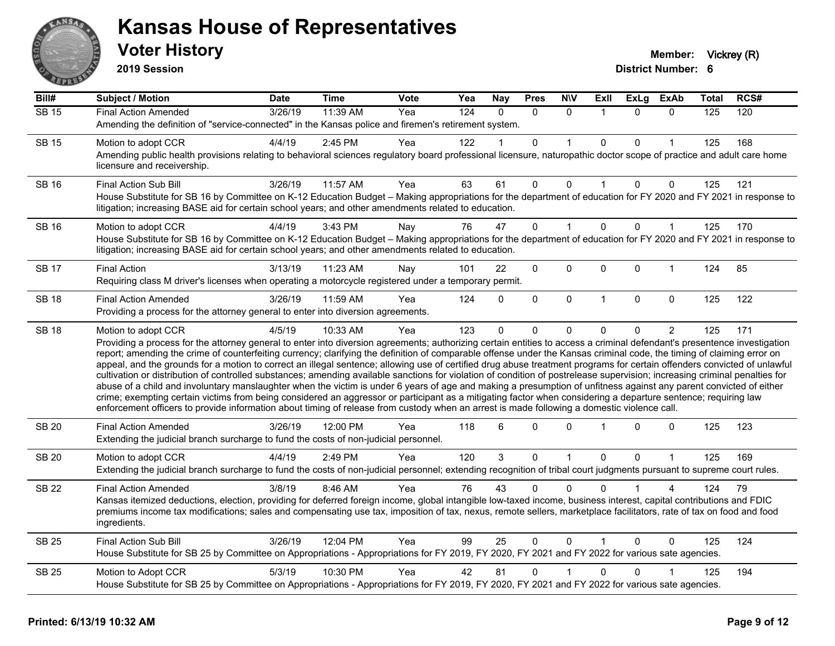

**2019 Session**

| Bill#        | <b>Subject / Motion</b>                                                                                                                                                                                                                                                                                                                                                                                                                                                                                                                                                                                                                                                                                                                                                                                                                                                                                                                                                                                                                                                                                                                                                                                                     | Date    | <b>Time</b> | Vote | Yea              | <b>Nay</b> | <b>Pres</b> | <b>N\V</b>     | ExII           | <b>ExLg</b> | <b>ExAb</b>  | Total | RCS# |
|--------------|-----------------------------------------------------------------------------------------------------------------------------------------------------------------------------------------------------------------------------------------------------------------------------------------------------------------------------------------------------------------------------------------------------------------------------------------------------------------------------------------------------------------------------------------------------------------------------------------------------------------------------------------------------------------------------------------------------------------------------------------------------------------------------------------------------------------------------------------------------------------------------------------------------------------------------------------------------------------------------------------------------------------------------------------------------------------------------------------------------------------------------------------------------------------------------------------------------------------------------|---------|-------------|------|------------------|------------|-------------|----------------|----------------|-------------|--------------|-------|------|
| <b>SB 15</b> | <b>Final Action Amended</b>                                                                                                                                                                                                                                                                                                                                                                                                                                                                                                                                                                                                                                                                                                                                                                                                                                                                                                                                                                                                                                                                                                                                                                                                 | 3/26/19 | 11:39 AM    | Yea  | $\overline{124}$ | $\Omega$   | $\Omega$    | $\Omega$       |                | $\Omega$    | $\Omega$     | 125   | 120  |
|              | Amending the definition of "service-connected" in the Kansas police and firemen's retirement system.                                                                                                                                                                                                                                                                                                                                                                                                                                                                                                                                                                                                                                                                                                                                                                                                                                                                                                                                                                                                                                                                                                                        |         |             |      |                  |            |             |                |                |             |              |       |      |
| <b>SB 15</b> | Motion to adopt CCR                                                                                                                                                                                                                                                                                                                                                                                                                                                                                                                                                                                                                                                                                                                                                                                                                                                                                                                                                                                                                                                                                                                                                                                                         | 4/4/19  | $2:45$ PM   | Yea  | 122              |            | 0           |                | $\mathbf{0}$   | $\Omega$    |              | 125   | 168  |
|              | Amending public health provisions relating to behavioral sciences regulatory board professional licensure, naturopathic doctor scope of practice and adult care home<br>licensure and receivership.                                                                                                                                                                                                                                                                                                                                                                                                                                                                                                                                                                                                                                                                                                                                                                                                                                                                                                                                                                                                                         |         |             |      |                  |            |             |                |                |             |              |       |      |
| <b>SB 16</b> | Final Action Sub Bill                                                                                                                                                                                                                                                                                                                                                                                                                                                                                                                                                                                                                                                                                                                                                                                                                                                                                                                                                                                                                                                                                                                                                                                                       | 3/26/19 | 11:57 AM    | Yea  | 63               | 61         | 0           | $\Omega$       |                | $\Omega$    | 0            | 125   | 121  |
|              | House Substitute for SB 16 by Committee on K-12 Education Budget - Making appropriations for the department of education for FY 2020 and FY 2021 in response to<br>litigation; increasing BASE aid for certain school years; and other amendments related to education.                                                                                                                                                                                                                                                                                                                                                                                                                                                                                                                                                                                                                                                                                                                                                                                                                                                                                                                                                     |         |             |      |                  |            |             |                |                |             |              |       |      |
| SB 16        | Motion to adopt CCR                                                                                                                                                                                                                                                                                                                                                                                                                                                                                                                                                                                                                                                                                                                                                                                                                                                                                                                                                                                                                                                                                                                                                                                                         | 4/4/19  | 3:43 PM     | Nay  | 76               | 47         | $\Omega$    |                | $\Omega$       | $\Omega$    | 1            | 125   | 170  |
|              | House Substitute for SB 16 by Committee on K-12 Education Budget - Making appropriations for the department of education for FY 2020 and FY 2021 in response to<br>litigation; increasing BASE aid for certain school years; and other amendments related to education.                                                                                                                                                                                                                                                                                                                                                                                                                                                                                                                                                                                                                                                                                                                                                                                                                                                                                                                                                     |         |             |      |                  |            |             |                |                |             |              |       |      |
| <b>SB 17</b> | <b>Final Action</b>                                                                                                                                                                                                                                                                                                                                                                                                                                                                                                                                                                                                                                                                                                                                                                                                                                                                                                                                                                                                                                                                                                                                                                                                         | 3/13/19 | 11:23 AM    | Nay  | 101              | 22         | 0           | 0              | $\mathbf 0$    | $\Omega$    | $\mathbf{1}$ | 124   | 85   |
|              | Requiring class M driver's licenses when operating a motorcycle registered under a temporary permit.                                                                                                                                                                                                                                                                                                                                                                                                                                                                                                                                                                                                                                                                                                                                                                                                                                                                                                                                                                                                                                                                                                                        |         |             |      |                  |            |             |                |                |             |              |       |      |
| <b>SB 18</b> | <b>Final Action Amended</b>                                                                                                                                                                                                                                                                                                                                                                                                                                                                                                                                                                                                                                                                                                                                                                                                                                                                                                                                                                                                                                                                                                                                                                                                 | 3/26/19 | 11:59 AM    | Yea  | 124              | $\Omega$   | 0           | $\mathbf 0$    | $\overline{1}$ | $\Omega$    | $\mathbf 0$  | 125   | 122  |
|              | Providing a process for the attorney general to enter into diversion agreements.                                                                                                                                                                                                                                                                                                                                                                                                                                                                                                                                                                                                                                                                                                                                                                                                                                                                                                                                                                                                                                                                                                                                            |         |             |      |                  |            |             |                |                |             |              |       |      |
| <b>SB 18</b> | Motion to adopt CCR<br>Providing a process for the attorney general to enter into diversion agreements; authorizing certain entities to access a criminal defendant's presentence investigation<br>report; amending the crime of counterfeiting currency; clarifying the definition of comparable offense under the Kansas criminal code, the timing of claiming error on<br>appeal, and the grounds for a motion to correct an illegal sentence; allowing use of certified drug abuse treatment programs for certain offenders convicted of unlawful<br>cultivation or distribution of controlled substances; amending available sanctions for violation of condition of postrelease supervision; increasing criminal penalties for<br>abuse of a child and involuntary manslaughter when the victim is under 6 years of age and making a presumption of unfitness against any parent convicted of either<br>crime; exempting certain victims from being considered an aggressor or participant as a mitigating factor when considering a departure sentence; requiring law<br>enforcement officers to provide information about timing of release from custody when an arrest is made following a domestic violence call. | 4/5/19  | 10:33 AM    | Yea  | 123              | $\Omega$   | 0           | $\mathbf 0$    | $\Omega$       | $\Omega$    | 2            | 125   | 171  |
| <b>SB 20</b> | <b>Final Action Amended</b><br>Extending the judicial branch surcharge to fund the costs of non-judicial personnel.                                                                                                                                                                                                                                                                                                                                                                                                                                                                                                                                                                                                                                                                                                                                                                                                                                                                                                                                                                                                                                                                                                         | 3/26/19 | 12:00 PM    | Yea  | 118              | 6          | 0           | $\Omega$       |                | $\Omega$    | 0            | 125   | 123  |
| <b>SB 20</b> | Motion to adopt CCR                                                                                                                                                                                                                                                                                                                                                                                                                                                                                                                                                                                                                                                                                                                                                                                                                                                                                                                                                                                                                                                                                                                                                                                                         | 4/4/19  | 2:49 PM     | Yea  | 120              | 3          | 0           | $\overline{1}$ | $\Omega$       | $\Omega$    | 1            | 125   | 169  |
|              | Extending the judicial branch surcharge to fund the costs of non-judicial personnel; extending recognition of tribal court judgments pursuant to supreme court rules.                                                                                                                                                                                                                                                                                                                                                                                                                                                                                                                                                                                                                                                                                                                                                                                                                                                                                                                                                                                                                                                       |         |             |      |                  |            |             |                |                |             |              |       |      |
| <b>SB 22</b> | <b>Final Action Amended</b>                                                                                                                                                                                                                                                                                                                                                                                                                                                                                                                                                                                                                                                                                                                                                                                                                                                                                                                                                                                                                                                                                                                                                                                                 | 3/8/19  | 8:46 AM     | Yea  | 76               | 43         | 0           | $\Omega$       | $\Omega$       |             | 4            | 124   | 79   |
|              | Kansas itemized deductions, election, providing for deferred foreign income, global intangible low-taxed income, business interest, capital contributions and FDIC<br>premiums income tax modifications; sales and compensating use tax, imposition of tax, nexus, remote sellers, marketplace facilitators, rate of tax on food and food<br>ingredients.                                                                                                                                                                                                                                                                                                                                                                                                                                                                                                                                                                                                                                                                                                                                                                                                                                                                   |         |             |      |                  |            |             |                |                |             |              |       |      |
| <b>SB 25</b> | Final Action Sub Bill                                                                                                                                                                                                                                                                                                                                                                                                                                                                                                                                                                                                                                                                                                                                                                                                                                                                                                                                                                                                                                                                                                                                                                                                       | 3/26/19 | 12:04 PM    | Yea  | 99               | 25         | $\Omega$    | $\mathbf{0}$   |                | $\Omega$    | $\Omega$     | 125   | 124  |
|              | House Substitute for SB 25 by Committee on Appropriations - Appropriations for FY 2019, FY 2020, FY 2021 and FY 2022 for various sate agencies.                                                                                                                                                                                                                                                                                                                                                                                                                                                                                                                                                                                                                                                                                                                                                                                                                                                                                                                                                                                                                                                                             |         |             |      |                  |            |             |                |                |             |              |       |      |
| <b>SB 25</b> | Motion to Adopt CCR                                                                                                                                                                                                                                                                                                                                                                                                                                                                                                                                                                                                                                                                                                                                                                                                                                                                                                                                                                                                                                                                                                                                                                                                         | 5/3/19  | 10:30 PM    | Yea  | 42               | 81         | 0           |                | $\mathbf{0}$   | $\Omega$    |              | 125   | 194  |
|              | House Substitute for SB 25 by Committee on Appropriations - Appropriations for FY 2019, FY 2020, FY 2021 and FY 2022 for various sate agencies.                                                                                                                                                                                                                                                                                                                                                                                                                                                                                                                                                                                                                                                                                                                                                                                                                                                                                                                                                                                                                                                                             |         |             |      |                  |            |             |                |                |             |              |       |      |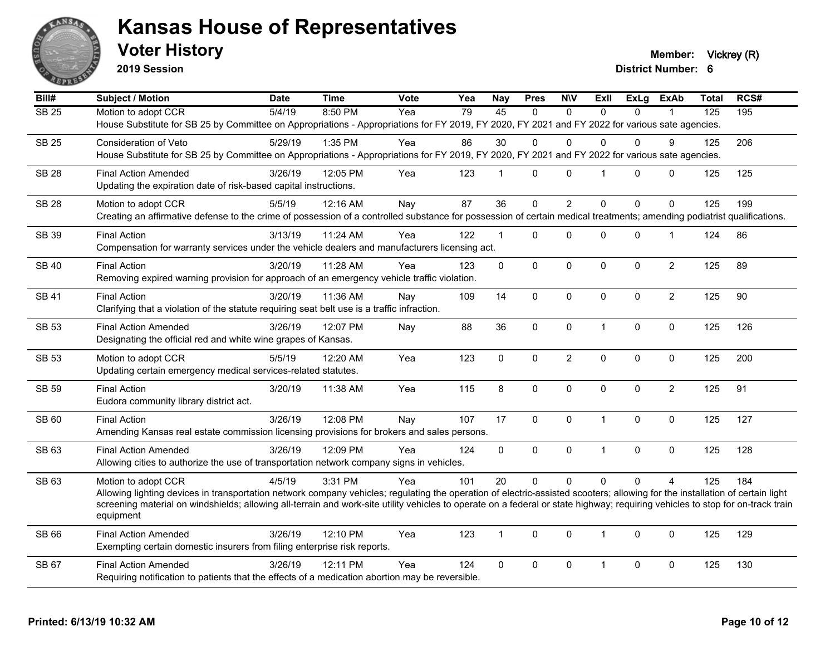

**2019 Session**

**Voter History Member:** Vickrey (R)

| Bill#        | Subject / Motion                                                                                                                                                               | <b>Date</b> | <b>Time</b> | <b>Vote</b> | Yea | <b>Nay</b>     | <b>Pres</b> | <b>NIV</b>     | <b>ExII</b>  | <b>ExLg</b>  | <b>ExAb</b>    | Total | RCS# |
|--------------|--------------------------------------------------------------------------------------------------------------------------------------------------------------------------------|-------------|-------------|-------------|-----|----------------|-------------|----------------|--------------|--------------|----------------|-------|------|
| <b>SB 25</b> | Motion to adopt CCR                                                                                                                                                            | 5/4/19      | 8:50 PM     | Yea         | 79  | 45             | $\Omega$    | $\Omega$       | $\Omega$     | $\Omega$     |                | 125   | 195  |
|              | House Substitute for SB 25 by Committee on Appropriations - Appropriations for FY 2019, FY 2020, FY 2021 and FY 2022 for various sate agencies.                                |             |             |             |     |                |             |                |              |              |                |       |      |
| <b>SB 25</b> | Consideration of Veto                                                                                                                                                          | 5/29/19     | 1:35 PM     | Yea         | 86  | 30             | 0           | $\Omega$       | 0            | 0            | 9              | 125   | 206  |
|              | House Substitute for SB 25 by Committee on Appropriations - Appropriations for FY 2019, FY 2020, FY 2021 and FY 2022 for various sate agencies.                                |             |             |             |     |                |             |                |              |              |                |       |      |
| <b>SB 28</b> | <b>Final Action Amended</b>                                                                                                                                                    | 3/26/19     | 12:05 PM    | Yea         | 123 | $\mathbf{1}$   | $\mathbf 0$ | $\mathbf 0$    | $\mathbf{1}$ | 0            | 0              | 125   | 125  |
|              | Updating the expiration date of risk-based capital instructions.                                                                                                               |             |             |             |     |                |             |                |              |              |                |       |      |
| <b>SB 28</b> | Motion to adopt CCR                                                                                                                                                            | 5/5/19      | 12:16 AM    | Nay         | 87  | 36             | $\mathbf 0$ | $\overline{c}$ | $\mathbf 0$  | $\mathbf 0$  | $\mathbf 0$    | 125   | 199  |
|              | Creating an affirmative defense to the crime of possession of a controlled substance for possession of certain medical treatments; amending podiatrist qualifications.         |             |             |             |     |                |             |                |              |              |                |       |      |
| SB 39        | <b>Final Action</b>                                                                                                                                                            | 3/13/19     | 11:24 AM    | Yea         | 122 | $\mathbf{1}$   | 0           | $\mathbf 0$    | $\Omega$     | 0            | $\mathbf{1}$   | 124   | 86   |
|              | Compensation for warranty services under the vehicle dealers and manufacturers licensing act.                                                                                  |             |             |             |     |                |             |                |              |              |                |       |      |
|              |                                                                                                                                                                                |             |             |             |     |                |             |                |              |              |                |       |      |
| <b>SB 40</b> | <b>Final Action</b><br>Removing expired warning provision for approach of an emergency vehicle traffic violation.                                                              | 3/20/19     | 11:28 AM    | Yea         | 123 | $\mathbf 0$    | $\mathbf 0$ | $\pmb{0}$      | $\mathbf 0$  | 0            | $\overline{c}$ | 125   | 89   |
|              |                                                                                                                                                                                |             |             |             |     |                |             |                |              |              |                |       |      |
| <b>SB 41</b> | <b>Final Action</b>                                                                                                                                                            | 3/20/19     | 11:36 AM    | Nay         | 109 | 14             | $\mathbf 0$ | $\mathbf 0$    | $\Omega$     | $\Omega$     | $\overline{2}$ | 125   | 90   |
|              | Clarifying that a violation of the statute requiring seat belt use is a traffic infraction.                                                                                    |             |             |             |     |                |             |                |              |              |                |       |      |
| <b>SB 53</b> | <b>Final Action Amended</b>                                                                                                                                                    | 3/26/19     | 12:07 PM    | Nay         | 88  | 36             | 0           | $\mathbf 0$    | $\mathbf{1}$ | 0            | $\mathbf 0$    | 125   | 126  |
|              | Designating the official red and white wine grapes of Kansas.                                                                                                                  |             |             |             |     |                |             |                |              |              |                |       |      |
| <b>SB 53</b> | Motion to adopt CCR                                                                                                                                                            | 5/5/19      | 12:20 AM    | Yea         | 123 | $\mathbf 0$    | $\mathbf 0$ | $\overline{c}$ | $\mathbf 0$  | 0            | $\mathbf 0$    | 125   | 200  |
|              | Updating certain emergency medical services-related statutes.                                                                                                                  |             |             |             |     |                |             |                |              |              |                |       |      |
| <b>SB 59</b> | <b>Final Action</b>                                                                                                                                                            | 3/20/19     | 11:38 AM    | Yea         | 115 | 8              | $\mathbf 0$ | $\mathbf 0$    | $\Omega$     | 0            | $\overline{2}$ | 125   | 91   |
|              | Eudora community library district act.                                                                                                                                         |             |             |             |     |                |             |                |              |              |                |       |      |
| SB 60        | <b>Final Action</b>                                                                                                                                                            | 3/26/19     | 12:08 PM    | Nay         | 107 | 17             | 0           | $\pmb{0}$      | $\mathbf{1}$ | 0            | $\pmb{0}$      | 125   | 127  |
|              | Amending Kansas real estate commission licensing provisions for brokers and sales persons.                                                                                     |             |             |             |     |                |             |                |              |              |                |       |      |
| SB 63        | <b>Final Action Amended</b>                                                                                                                                                    | 3/26/19     | 12:09 PM    | Yea         | 124 | $\mathbf 0$    | $\mathbf 0$ | $\mathbf 0$    | $\mathbf{1}$ | 0            | $\mathbf 0$    | 125   | 128  |
|              | Allowing cities to authorize the use of transportation network company signs in vehicles.                                                                                      |             |             |             |     |                |             |                |              |              |                |       |      |
| SB 63        | Motion to adopt CCR                                                                                                                                                            | 4/5/19      | 3:31 PM     | Yea         | 101 | 20             | $\mathbf 0$ | $\mathbf{0}$   | $\Omega$     | $\Omega$     | $\overline{A}$ | 125   | 184  |
|              | Allowing lighting devices in transportation network company vehicles; regulating the operation of electric-assisted scooters; allowing for the installation of certain light   |             |             |             |     |                |             |                |              |              |                |       |      |
|              | screening material on windshields; allowing all-terrain and work-site utility vehicles to operate on a federal or state highway; requiring vehicles to stop for on-track train |             |             |             |     |                |             |                |              |              |                |       |      |
|              | equipment                                                                                                                                                                      |             |             |             |     |                |             |                |              |              |                |       |      |
| SB 66        | <b>Final Action Amended</b>                                                                                                                                                    | 3/26/19     | 12:10 PM    | Yea         | 123 | $\overline{1}$ | 0           | $\pmb{0}$      | $\mathbf{1}$ | $\mathbf{0}$ | $\mathbf 0$    | 125   | 129  |
|              | Exempting certain domestic insurers from filing enterprise risk reports.                                                                                                       |             |             |             |     |                |             |                |              |              |                |       |      |
| <b>SB 67</b> | <b>Final Action Amended</b>                                                                                                                                                    | 3/26/19     | 12:11 PM    | Yea         | 124 | $\mathbf 0$    | 0           | $\mathbf 0$    | $\mathbf{1}$ | $\mathbf 0$  | $\mathbf 0$    | 125   | 130  |
|              | Requiring notification to patients that the effects of a medication abortion may be reversible.                                                                                |             |             |             |     |                |             |                |              |              |                |       |      |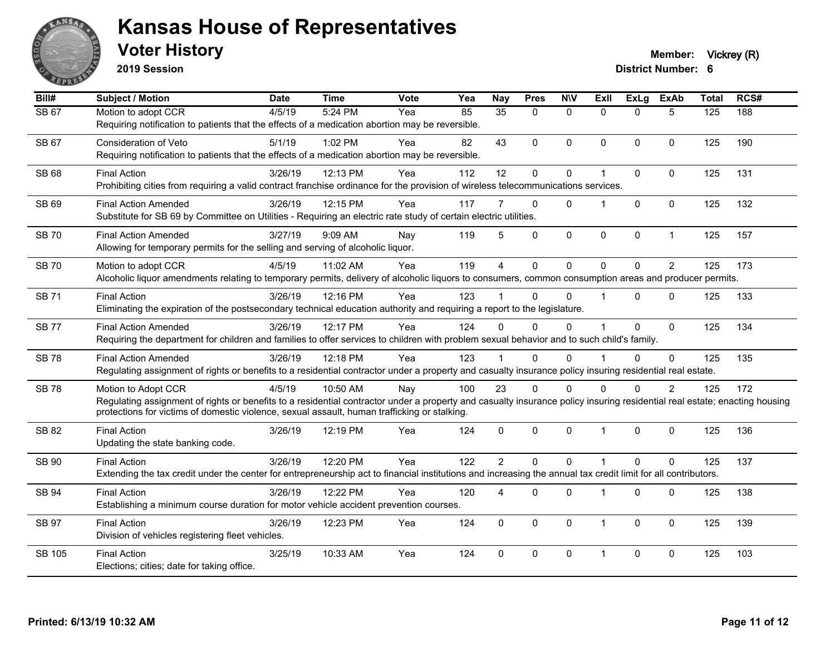

**2019 Session**

| Bill#        | Subject / Motion                                                                                                                                                             | <b>Date</b> | Time     | Vote | Yea | <b>Nay</b>     | <b>Pres</b>  | <b>NIV</b>   | ExII           | <b>ExLg</b>  | <b>ExAb</b>    | <b>Total</b>     | RCS# |
|--------------|------------------------------------------------------------------------------------------------------------------------------------------------------------------------------|-------------|----------|------|-----|----------------|--------------|--------------|----------------|--------------|----------------|------------------|------|
| <b>SB 67</b> | Motion to adopt CCR                                                                                                                                                          | 4/5/19      | 5:24 PM  | Yea  | 85  | 35             | $\Omega$     | $\mathbf{0}$ | $\Omega$       | $\Omega$     | 5              | $\overline{125}$ | 188  |
|              | Requiring notification to patients that the effects of a medication abortion may be reversible.                                                                              |             |          |      |     |                |              |              |                |              |                |                  |      |
| SB 67        | Consideration of Veto                                                                                                                                                        | 5/1/19      | 1:02 PM  | Yea  | 82  | 43             | $\mathbf{0}$ | $\mathbf 0$  | $\mathbf{0}$   | $\mathbf{0}$ | $\mathbf{0}$   | 125              | 190  |
|              | Requiring notification to patients that the effects of a medication abortion may be reversible.                                                                              |             |          |      |     |                |              |              |                |              |                |                  |      |
| SB 68        | <b>Final Action</b>                                                                                                                                                          | 3/26/19     | 12:13 PM | Yea  | 112 | 12             | $\mathbf 0$  | $\pmb{0}$    |                | $\mathbf 0$  | $\mathbf 0$    | 125              | 131  |
|              | Prohibiting cities from requiring a valid contract franchise ordinance for the provision of wireless telecommunications services.                                            |             |          |      |     |                |              |              |                |              |                |                  |      |
| SB 69        | <b>Final Action Amended</b>                                                                                                                                                  | 3/26/19     | 12:15 PM | Yea  | 117 | 7              | $\Omega$     | $\mathbf{0}$ |                | $\mathbf{0}$ | $\mathbf 0$    | 125              | 132  |
|              | Substitute for SB 69 by Committee on Utilities - Requiring an electric rate study of certain electric utilities.                                                             |             |          |      |     |                |              |              |                |              |                |                  |      |
| <b>SB 70</b> | <b>Final Action Amended</b>                                                                                                                                                  | 3/27/19     | 9:09 AM  | Nay  | 119 | 5              | $\mathbf 0$  | $\mathbf 0$  | $\mathbf 0$    | $\pmb{0}$    | $\mathbf{1}$   | 125              | 157  |
|              | Allowing for temporary permits for the selling and serving of alcoholic liquor.                                                                                              |             |          |      |     |                |              |              |                |              |                |                  |      |
|              |                                                                                                                                                                              |             |          |      | 119 | $\overline{4}$ |              |              | $\Omega$       |              |                |                  |      |
| <b>SB70</b>  | Motion to adopt CCR<br>Alcoholic liquor amendments relating to temporary permits, delivery of alcoholic liquors to consumers, common consumption areas and producer permits. | 4/5/19      | 11:02 AM | Yea  |     |                | $\mathbf 0$  | $\mathbf{0}$ |                | $\mathbf 0$  | $\overline{2}$ | 125              | 173  |
|              |                                                                                                                                                                              |             |          |      |     |                |              |              |                |              |                |                  |      |
| <b>SB71</b>  | <b>Final Action</b><br>Eliminating the expiration of the postsecondary technical education authority and requiring a report to the legislature.                              | 3/26/19     | 12:16 PM | Yea  | 123 |                | $\Omega$     | $\Omega$     |                | $\Omega$     | $\Omega$       | 125              | 133  |
|              |                                                                                                                                                                              |             |          |      |     |                |              |              |                |              |                |                  |      |
| <b>SB77</b>  | <b>Final Action Amended</b>                                                                                                                                                  | 3/26/19     | 12:17 PM | Yea  | 124 | $\Omega$       | $\Omega$     | $\Omega$     |                | $\mathbf{0}$ | $\mathbf{0}$   | 125              | 134  |
|              | Requiring the department for children and families to offer services to children with problem sexual behavior and to such child's family.                                    |             |          |      |     |                |              |              |                |              |                |                  |      |
| <b>SB78</b>  | <b>Final Action Amended</b>                                                                                                                                                  | 3/26/19     | 12:18 PM | Yea  | 123 |                | $\Omega$     | $\Omega$     |                | $\Omega$     | $\Omega$       | 125              | 135  |
|              | Regulating assignment of rights or benefits to a residential contractor under a property and casualty insurance policy insuring residential real estate.                     |             |          |      |     |                |              |              |                |              |                |                  |      |
| <b>SB78</b>  | Motion to Adopt CCR                                                                                                                                                          | 4/5/19      | 10:50 AM | Nay  | 100 | 23             | $\Omega$     | 0            | 0              | $\Omega$     | $\overline{2}$ | 125              | 172  |
|              | Regulating assignment of rights or benefits to a residential contractor under a property and casualty insurance policy insuring residential real estate; enacting housing    |             |          |      |     |                |              |              |                |              |                |                  |      |
|              | protections for victims of domestic violence, sexual assault, human trafficking or stalking.                                                                                 |             |          |      |     |                |              |              |                |              |                |                  |      |
| <b>SB 82</b> | <b>Final Action</b>                                                                                                                                                          | 3/26/19     | 12:19 PM | Yea  | 124 | $\mathbf 0$    | $\mathbf 0$  | 0            | $\mathbf 1$    | $\mathbf 0$  | $\mathbf 0$    | 125              | 136  |
|              | Updating the state banking code.                                                                                                                                             |             |          |      |     |                |              |              |                |              |                |                  |      |
| SB 90        | <b>Final Action</b>                                                                                                                                                          | 3/26/19     | 12:20 PM | Yea  | 122 | $\overline{2}$ | $\Omega$     | $\Omega$     | $\overline{1}$ | $\Omega$     | $\Omega$       | 125              | 137  |
|              | Extending the tax credit under the center for entrepreneurship act to financial institutions and increasing the annual tax credit limit for all contributors.                |             |          |      |     |                |              |              |                |              |                |                  |      |
| SB 94        | <b>Final Action</b>                                                                                                                                                          | 3/26/19     | 12:22 PM | Yea  | 120 | 4              | $\mathbf{0}$ | 0            |                | $\mathbf 0$  | $\mathbf 0$    | 125              | 138  |
|              | Establishing a minimum course duration for motor vehicle accident prevention courses.                                                                                        |             |          |      |     |                |              |              |                |              |                |                  |      |
| SB 97        | <b>Final Action</b>                                                                                                                                                          | 3/26/19     | 12:23 PM | Yea  | 124 | $\Omega$       | $\mathbf{0}$ | $\Omega$     | -1             | $\Omega$     | $\mathbf{0}$   | 125              | 139  |
|              | Division of vehicles registering fleet vehicles.                                                                                                                             |             |          |      |     |                |              |              |                |              |                |                  |      |
| SB 105       | <b>Final Action</b>                                                                                                                                                          | 3/25/19     | 10:33 AM | Yea  | 124 | $\Omega$       | $\mathbf{0}$ | $\Omega$     | -1             | $\Omega$     | $\mathbf{0}$   | 125              | 103  |
|              | Elections; cities; date for taking office.                                                                                                                                   |             |          |      |     |                |              |              |                |              |                |                  |      |
|              |                                                                                                                                                                              |             |          |      |     |                |              |              |                |              |                |                  |      |